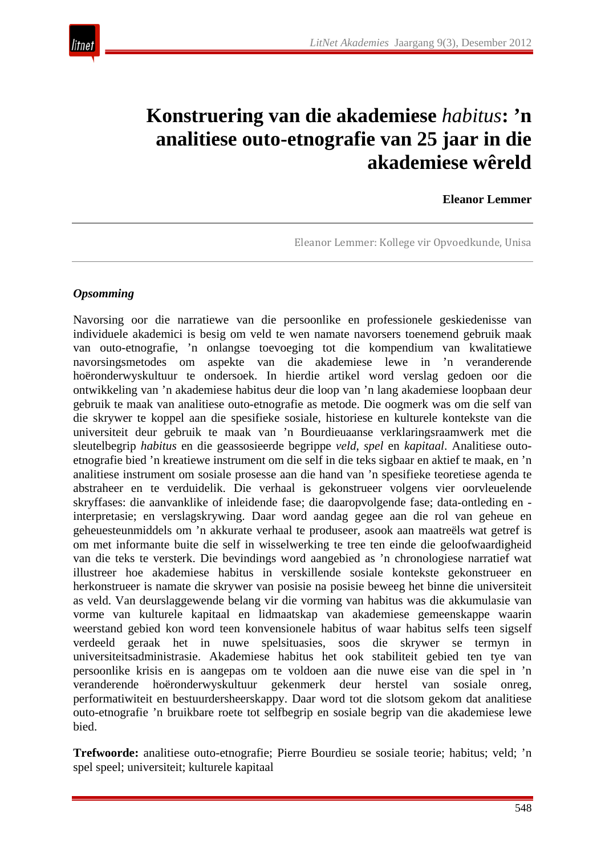

# **Konstruering van die akademiese** *habitus***: 'n analitiese outo-etnografie van 25 jaar in die akademiese wêreld**

#### **Eleanor Lemmer**

Eleanor Lemmer: Kollege vir Opvoedkunde, Unisa

#### *Opsomming*

Navorsing oor die narratiewe van die persoonlike en professionele geskiedenisse van individuele akademici is besig om veld te wen namate navorsers toenemend gebruik maak van outo-etnografie, 'n onlangse toevoeging tot die kompendium van kwalitatiewe navorsingsmetodes om aspekte van die akademiese lewe in 'n veranderende hoëronderwyskultuur te ondersoek. In hierdie artikel word verslag gedoen oor die ontwikkeling van 'n akademiese habitus deur die loop van 'n lang akademiese loopbaan deur gebruik te maak van analitiese outo-etnografie as metode. Die oogmerk was om die self van die skrywer te koppel aan die spesifieke sosiale, historiese en kulturele kontekste van die universiteit deur gebruik te maak van 'n Bourdieuaanse verklaringsraamwerk met die sleutelbegrip *habitus* en die geassosieerde begrippe *veld*, *spel* en *kapitaal*. Analitiese outoetnografie bied 'n kreatiewe instrument om die self in die teks sigbaar en aktief te maak, en 'n analitiese instrument om sosiale prosesse aan die hand van 'n spesifieke teoretiese agenda te abstraheer en te verduidelik. Die verhaal is gekonstrueer volgens vier oorvleuelende skryffases: die aanvanklike of inleidende fase; die daaropvolgende fase; data-ontleding en interpretasie; en verslagskrywing. Daar word aandag gegee aan die rol van geheue en geheuesteunmiddels om 'n akkurate verhaal te produseer, asook aan maatreëls wat getref is om met informante buite die self in wisselwerking te tree ten einde die geloofwaardigheid van die teks te versterk. Die bevindings word aangebied as 'n chronologiese narratief wat illustreer hoe akademiese habitus in verskillende sosiale kontekste gekonstrueer en herkonstrueer is namate die skrywer van posisie na posisie beweeg het binne die universiteit as veld. Van deurslaggewende belang vir die vorming van habitus was die akkumulasie van vorme van kulturele kapitaal en lidmaatskap van akademiese gemeenskappe waarin weerstand gebied kon word teen konvensionele habitus of waar habitus selfs teen sigself verdeeld geraak het in nuwe spelsituasies, soos die skrywer se termyn in universiteitsadministrasie. Akademiese habitus het ook stabiliteit gebied ten tye van persoonlike krisis en is aangepas om te voldoen aan die nuwe eise van die spel in 'n veranderende hoëronderwyskultuur gekenmerk deur herstel van sosiale onreg, performatiwiteit en bestuurdersheerskappy. Daar word tot die slotsom gekom dat analitiese outo-etnografie 'n bruikbare roete tot selfbegrip en sosiale begrip van die akademiese lewe bied.

**Trefwoorde:** analitiese outo-etnografie; Pierre Bourdieu se sosiale teorie; habitus; veld; 'n spel speel; universiteit; kulturele kapitaal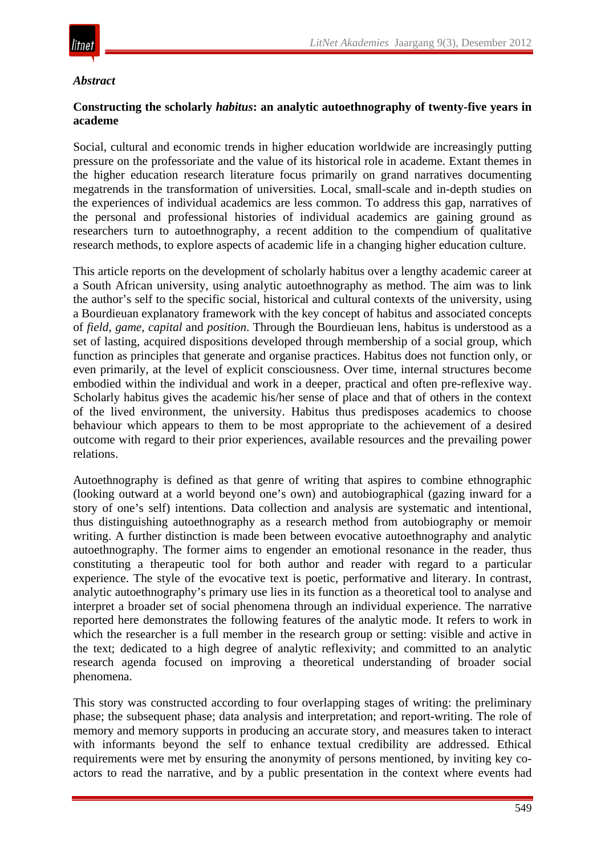

#### *Abstract*

#### **Constructing the scholarly** *habitus***: an analytic autoethnography of twenty-five years in academe**

Social, cultural and economic trends in higher education worldwide are increasingly putting pressure on the professoriate and the value of its historical role in academe. Extant themes in the higher education research literature focus primarily on grand narratives documenting megatrends in the transformation of universities. Local, small-scale and in-depth studies on the experiences of individual academics are less common. To address this gap, narratives of the personal and professional histories of individual academics are gaining ground as researchers turn to autoethnography, a recent addition to the compendium of qualitative research methods, to explore aspects of academic life in a changing higher education culture.

This article reports on the development of scholarly habitus over a lengthy academic career at a South African university, using analytic autoethnography as method. The aim was to link the author's self to the specific social, historical and cultural contexts of the university, using a Bourdieuan explanatory framework with the key concept of habitus and associated concepts of *field*, *game, capital* and *position*. Through the Bourdieuan lens, habitus is understood as a set of lasting, acquired dispositions developed through membership of a social group, which function as principles that generate and organise practices. Habitus does not function only, or even primarily, at the level of explicit consciousness. Over time, internal structures become embodied within the individual and work in a deeper, practical and often pre-reflexive way. Scholarly habitus gives the academic his/her sense of place and that of others in the context of the lived environment, the university. Habitus thus predisposes academics to choose behaviour which appears to them to be most appropriate to the achievement of a desired outcome with regard to their prior experiences, available resources and the prevailing power relations.

Autoethnography is defined as that genre of writing that aspires to combine ethnographic (looking outward at a world beyond one's own) and autobiographical (gazing inward for a story of one's self) intentions. Data collection and analysis are systematic and intentional, thus distinguishing autoethnography as a research method from autobiography or memoir writing. A further distinction is made been between evocative autoethnography and analytic autoethnography. The former aims to engender an emotional resonance in the reader, thus constituting a therapeutic tool for both author and reader with regard to a particular experience. The style of the evocative text is poetic, performative and literary. In contrast, analytic autoethnography's primary use lies in its function as a theoretical tool to analyse and interpret a broader set of social phenomena through an individual experience. The narrative reported here demonstrates the following features of the analytic mode. It refers to work in which the researcher is a full member in the research group or setting: visible and active in the text; dedicated to a high degree of analytic reflexivity; and committed to an analytic research agenda focused on improving a theoretical understanding of broader social phenomena.

This story was constructed according to four overlapping stages of writing: the preliminary phase; the subsequent phase; data analysis and interpretation; and report-writing. The role of memory and memory supports in producing an accurate story, and measures taken to interact with informants beyond the self to enhance textual credibility are addressed. Ethical requirements were met by ensuring the anonymity of persons mentioned, by inviting key coactors to read the narrative, and by a public presentation in the context where events had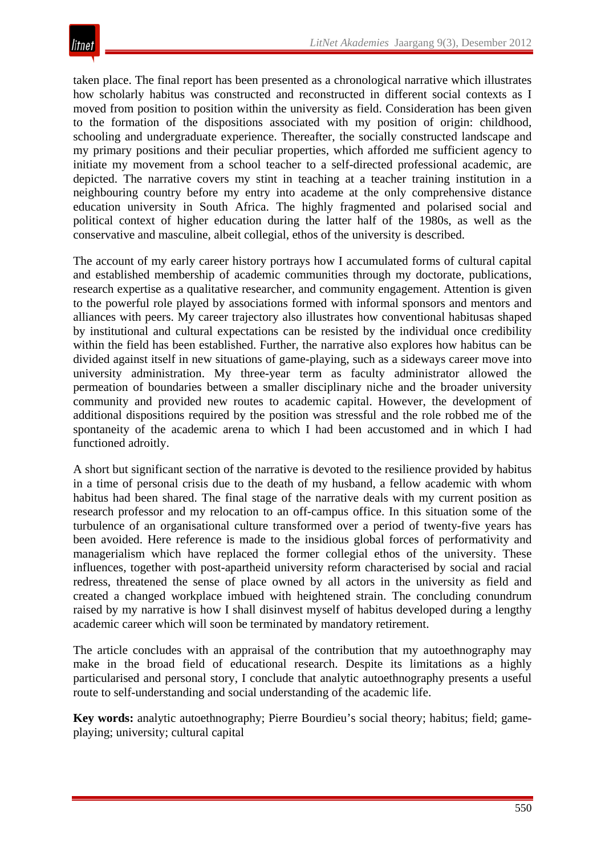taken place. The final report has been presented as a chronological narrative which illustrates how scholarly habitus was constructed and reconstructed in different social contexts as I moved from position to position within the university as field. Consideration has been given to the formation of the dispositions associated with my position of origin: childhood, schooling and undergraduate experience. Thereafter, the socially constructed landscape and my primary positions and their peculiar properties, which afforded me sufficient agency to initiate my movement from a school teacher to a self-directed professional academic, are depicted. The narrative covers my stint in teaching at a teacher training institution in a neighbouring country before my entry into academe at the only comprehensive distance education university in South Africa. The highly fragmented and polarised social and political context of higher education during the latter half of the 1980s, as well as the conservative and masculine, albeit collegial, ethos of the university is described.

The account of my early career history portrays how I accumulated forms of cultural capital and established membership of academic communities through my doctorate, publications, research expertise as a qualitative researcher, and community engagement. Attention is given to the powerful role played by associations formed with informal sponsors and mentors and alliances with peers. My career trajectory also illustrates how conventional habitusas shaped by institutional and cultural expectations can be resisted by the individual once credibility within the field has been established. Further, the narrative also explores how habitus can be divided against itself in new situations of game-playing, such as a sideways career move into university administration. My three-year term as faculty administrator allowed the permeation of boundaries between a smaller disciplinary niche and the broader university community and provided new routes to academic capital. However, the development of additional dispositions required by the position was stressful and the role robbed me of the spontaneity of the academic arena to which I had been accustomed and in which I had functioned adroitly.

A short but significant section of the narrative is devoted to the resilience provided by habitus in a time of personal crisis due to the death of my husband, a fellow academic with whom habitus had been shared. The final stage of the narrative deals with my current position as research professor and my relocation to an off-campus office. In this situation some of the turbulence of an organisational culture transformed over a period of twenty-five years has been avoided. Here reference is made to the insidious global forces of performativity and managerialism which have replaced the former collegial ethos of the university. These influences, together with post-apartheid university reform characterised by social and racial redress, threatened the sense of place owned by all actors in the university as field and created a changed workplace imbued with heightened strain. The concluding conundrum raised by my narrative is how I shall disinvest myself of habitus developed during a lengthy academic career which will soon be terminated by mandatory retirement.

The article concludes with an appraisal of the contribution that my autoethnography may make in the broad field of educational research. Despite its limitations as a highly particularised and personal story, I conclude that analytic autoethnography presents a useful route to self-understanding and social understanding of the academic life.

**Key words:** analytic autoethnography; Pierre Bourdieu's social theory; habitus; field; gameplaying; university; cultural capital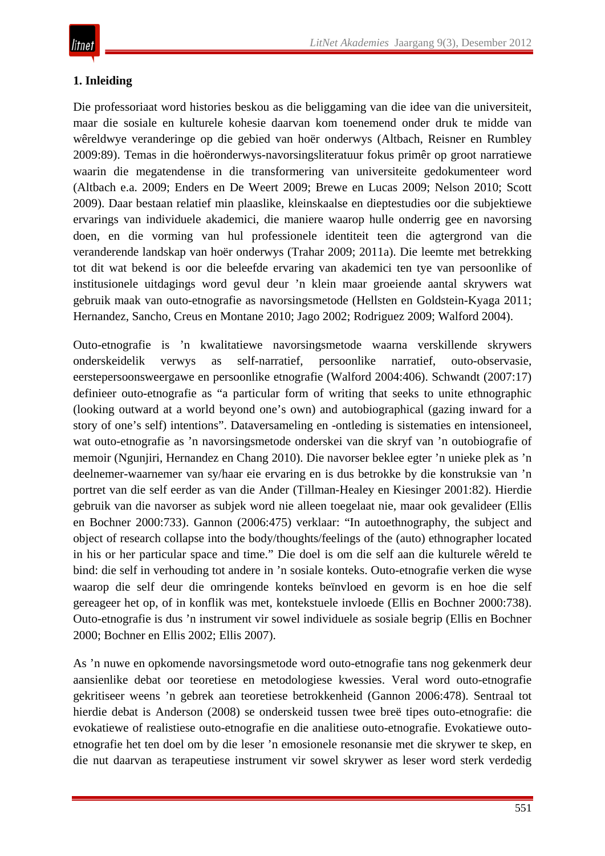# **1. Inleiding**

Die professoriaat word histories beskou as die beliggaming van die idee van die universiteit, maar die sosiale en kulturele kohesie daarvan kom toenemend onder druk te midde van wêreldwye veranderinge op die gebied van hoër onderwys (Altbach, Reisner en Rumbley 2009:89). Temas in die hoëronderwys-navorsingsliteratuur fokus primêr op groot narratiewe waarin die megatendense in die transformering van universiteite gedokumenteer word (Altbach e.a. 2009; Enders en De Weert 2009; Brewe en Lucas 2009; Nelson 2010; Scott 2009). Daar bestaan relatief min plaaslike, kleinskaalse en dieptestudies oor die subjektiewe ervarings van individuele akademici, die maniere waarop hulle onderrig gee en navorsing doen, en die vorming van hul professionele identiteit teen die agtergrond van die veranderende landskap van hoër onderwys (Trahar 2009; 2011a). Die leemte met betrekking tot dit wat bekend is oor die beleefde ervaring van akademici ten tye van persoonlike of institusionele uitdagings word gevul deur 'n klein maar groeiende aantal skrywers wat gebruik maak van outo-etnografie as navorsingsmetode (Hellsten en Goldstein-Kyaga 2011; Hernandez, Sancho, Creus en Montane 2010; Jago 2002; Rodriguez 2009; Walford 2004).

Outo-etnografie is 'n kwalitatiewe navorsingsmetode waarna verskillende skrywers onderskeidelik verwys as self-narratief, persoonlike narratief, outo-observasie, eerstepersoonsweergawe en persoonlike etnografie (Walford 2004:406). Schwandt (2007:17) definieer outo-etnografie as "a particular form of writing that seeks to unite ethnographic (looking outward at a world beyond one's own) and autobiographical (gazing inward for a story of one's self) intentions". Dataversameling en -ontleding is sistematies en intensioneel, wat outo-etnografie as 'n navorsingsmetode onderskei van die skryf van 'n outobiografie of memoir (Ngunjiri, Hernandez en Chang 2010). Die navorser beklee egter 'n unieke plek as 'n deelnemer-waarnemer van sy/haar eie ervaring en is dus betrokke by die konstruksie van 'n portret van die self eerder as van die Ander (Tillman-Healey en Kiesinger 2001:82). Hierdie gebruik van die navorser as subjek word nie alleen toegelaat nie, maar ook gevalideer (Ellis en Bochner 2000:733). Gannon (2006:475) verklaar: "In autoethnography, the subject and object of research collapse into the body/thoughts/feelings of the (auto) ethnographer located in his or her particular space and time." Die doel is om die self aan die kulturele wêreld te bind: die self in verhouding tot andere in 'n sosiale konteks. Outo-etnografie verken die wyse waarop die self deur die omringende konteks beïnvloed en gevorm is en hoe die self gereageer het op, of in konflik was met, kontekstuele invloede (Ellis en Bochner 2000:738). Outo-etnografie is dus 'n instrument vir sowel individuele as sosiale begrip (Ellis en Bochner 2000; Bochner en Ellis 2002; Ellis 2007).

As 'n nuwe en opkomende navorsingsmetode word outo-etnografie tans nog gekenmerk deur aansienlike debat oor teoretiese en metodologiese kwessies. Veral word outo-etnografie gekritiseer weens 'n gebrek aan teoretiese betrokkenheid (Gannon 2006:478). Sentraal tot hierdie debat is Anderson (2008) se onderskeid tussen twee breë tipes outo-etnografie: die evokatiewe of realistiese outo-etnografie en die analitiese outo-etnografie. Evokatiewe outoetnografie het ten doel om by die leser 'n emosionele resonansie met die skrywer te skep, en die nut daarvan as terapeutiese instrument vir sowel skrywer as leser word sterk verdedig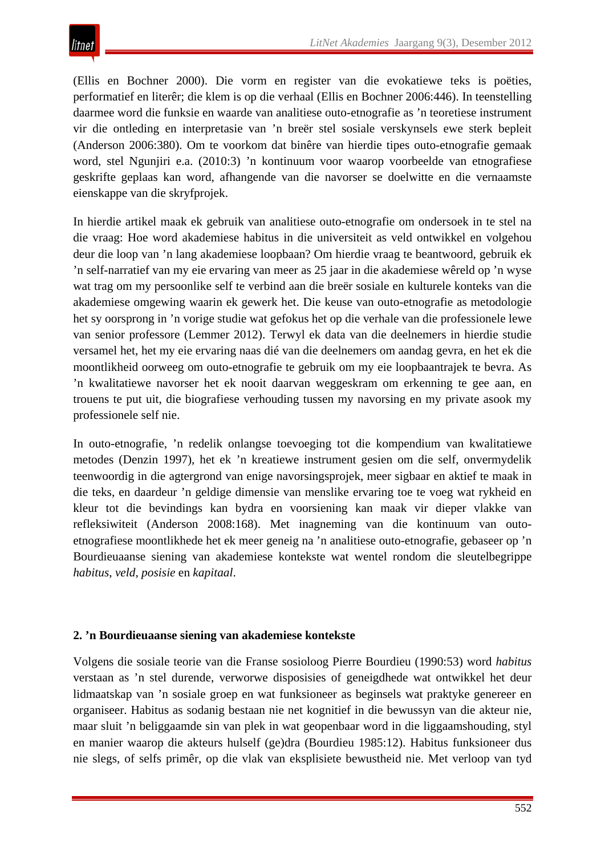(Ellis en Bochner 2000). Die vorm en register van die evokatiewe teks is poëties, performatief en literêr; die klem is op die verhaal (Ellis en Bochner 2006:446). In teenstelling daarmee word die funksie en waarde van analitiese outo-etnografie as 'n teoretiese instrument vir die ontleding en interpretasie van 'n breër stel sosiale verskynsels ewe sterk bepleit (Anderson 2006:380). Om te voorkom dat binêre van hierdie tipes outo-etnografie gemaak word, stel Ngunjiri e.a. (2010:3) 'n kontinuum voor waarop voorbeelde van etnografiese geskrifte geplaas kan word, afhangende van die navorser se doelwitte en die vernaamste eienskappe van die skryfprojek.

In hierdie artikel maak ek gebruik van analitiese outo-etnografie om ondersoek in te stel na die vraag: Hoe word akademiese habitus in die universiteit as veld ontwikkel en volgehou deur die loop van 'n lang akademiese loopbaan? Om hierdie vraag te beantwoord, gebruik ek 'n self-narratief van my eie ervaring van meer as 25 jaar in die akademiese wêreld op 'n wyse wat trag om my persoonlike self te verbind aan die breër sosiale en kulturele konteks van die akademiese omgewing waarin ek gewerk het. Die keuse van outo-etnografie as metodologie het sy oorsprong in 'n vorige studie wat gefokus het op die verhale van die professionele lewe van senior professore (Lemmer 2012). Terwyl ek data van die deelnemers in hierdie studie versamel het, het my eie ervaring naas dié van die deelnemers om aandag gevra, en het ek die moontlikheid oorweeg om outo-etnografie te gebruik om my eie loopbaantrajek te bevra. As 'n kwalitatiewe navorser het ek nooit daarvan weggeskram om erkenning te gee aan, en trouens te put uit, die biografiese verhouding tussen my navorsing en my private asook my professionele self nie.

In outo-etnografie, 'n redelik onlangse toevoeging tot die kompendium van kwalitatiewe metodes (Denzin 1997), het ek 'n kreatiewe instrument gesien om die self, onvermydelik teenwoordig in die agtergrond van enige navorsingsprojek, meer sigbaar en aktief te maak in die teks, en daardeur 'n geldige dimensie van menslike ervaring toe te voeg wat rykheid en kleur tot die bevindings kan bydra en voorsiening kan maak vir dieper vlakke van refleksiwiteit (Anderson 2008:168). Met inagneming van die kontinuum van outoetnografiese moontlikhede het ek meer geneig na 'n analitiese outo-etnografie, gebaseer op 'n Bourdieuaanse siening van akademiese kontekste wat wentel rondom die sleutelbegrippe *habitus*, *veld*, *posisie* en *kapitaal*.

# **2. 'n Bourdieuaanse siening van akademiese kontekste**

Volgens die sosiale teorie van die Franse sosioloog Pierre Bourdieu (1990:53) word *habitus* verstaan as 'n stel durende, verworwe disposisies of geneigdhede wat ontwikkel het deur lidmaatskap van 'n sosiale groep en wat funksioneer as beginsels wat praktyke genereer en organiseer. Habitus as sodanig bestaan nie net kognitief in die bewussyn van die akteur nie, maar sluit 'n beliggaamde sin van plek in wat geopenbaar word in die liggaamshouding, styl en manier waarop die akteurs hulself (ge)dra (Bourdieu 1985:12). Habitus funksioneer dus nie slegs, of selfs primêr, op die vlak van eksplisiete bewustheid nie. Met verloop van tyd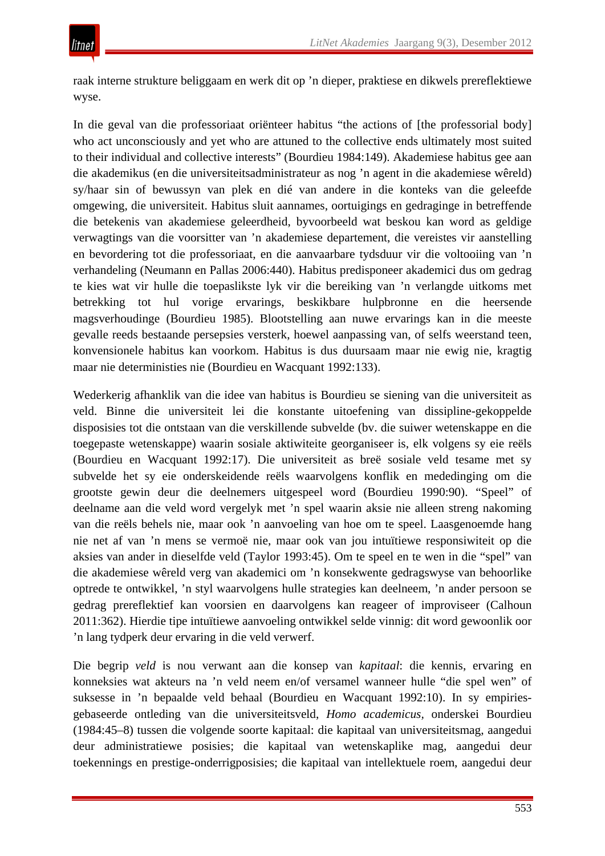raak interne strukture beliggaam en werk dit op 'n dieper, praktiese en dikwels prereflektiewe wyse.

In die geval van die professoriaat oriënteer habitus "the actions of [the professorial body] who act unconsciously and yet who are attuned to the collective ends ultimately most suited to their individual and collective interests" (Bourdieu 1984:149). Akademiese habitus gee aan die akademikus (en die universiteitsadministrateur as nog 'n agent in die akademiese wêreld) sy/haar sin of bewussyn van plek en dié van andere in die konteks van die geleefde omgewing, die universiteit. Habitus sluit aannames, oortuigings en gedraginge in betreffende die betekenis van akademiese geleerdheid, byvoorbeeld wat beskou kan word as geldige verwagtings van die voorsitter van 'n akademiese departement, die vereistes vir aanstelling en bevordering tot die professoriaat, en die aanvaarbare tydsduur vir die voltooiing van 'n verhandeling (Neumann en Pallas 2006:440). Habitus predisponeer akademici dus om gedrag te kies wat vir hulle die toepaslikste lyk vir die bereiking van 'n verlangde uitkoms met betrekking tot hul vorige ervarings, beskikbare hulpbronne en die heersende magsverhoudinge (Bourdieu 1985). Blootstelling aan nuwe ervarings kan in die meeste gevalle reeds bestaande persepsies versterk, hoewel aanpassing van, of selfs weerstand teen, konvensionele habitus kan voorkom. Habitus is dus duursaam maar nie ewig nie, kragtig maar nie deterministies nie (Bourdieu en Wacquant 1992:133).

Wederkerig afhanklik van die idee van habitus is Bourdieu se siening van die universiteit as veld. Binne die universiteit lei die konstante uitoefening van dissipline-gekoppelde disposisies tot die ontstaan van die verskillende subvelde (bv. die suiwer wetenskappe en die toegepaste wetenskappe) waarin sosiale aktiwiteite georganiseer is, elk volgens sy eie reëls (Bourdieu en Wacquant 1992:17). Die universiteit as breë sosiale veld tesame met sy subvelde het sy eie onderskeidende reëls waarvolgens konflik en mededinging om die grootste gewin deur die deelnemers uitgespeel word (Bourdieu 1990:90). "Speel" of deelname aan die veld word vergelyk met 'n spel waarin aksie nie alleen streng nakoming van die reëls behels nie, maar ook 'n aanvoeling van hoe om te speel. Laasgenoemde hang nie net af van 'n mens se vermoë nie, maar ook van jou intuïtiewe responsiwiteit op die aksies van ander in dieselfde veld (Taylor 1993:45). Om te speel en te wen in die "spel" van die akademiese wêreld verg van akademici om 'n konsekwente gedragswyse van behoorlike optrede te ontwikkel, 'n styl waarvolgens hulle strategies kan deelneem, 'n ander persoon se gedrag prereflektief kan voorsien en daarvolgens kan reageer of improviseer (Calhoun 2011:362). Hierdie tipe intuïtiewe aanvoeling ontwikkel selde vinnig: dit word gewoonlik oor 'n lang tydperk deur ervaring in die veld verwerf.

Die begrip *veld* is nou verwant aan die konsep van *kapitaal*: die kennis, ervaring en konneksies wat akteurs na 'n veld neem en/of versamel wanneer hulle "die spel wen" of suksesse in 'n bepaalde veld behaal (Bourdieu en Wacquant 1992:10). In sy empiriesgebaseerde ontleding van die universiteitsveld, *Homo academicus,* onderskei Bourdieu (1984:45–8) tussen die volgende soorte kapitaal: die kapitaal van universiteitsmag, aangedui deur administratiewe posisies; die kapitaal van wetenskaplike mag, aangedui deur toekennings en prestige-onderrigposisies; die kapitaal van intellektuele roem, aangedui deur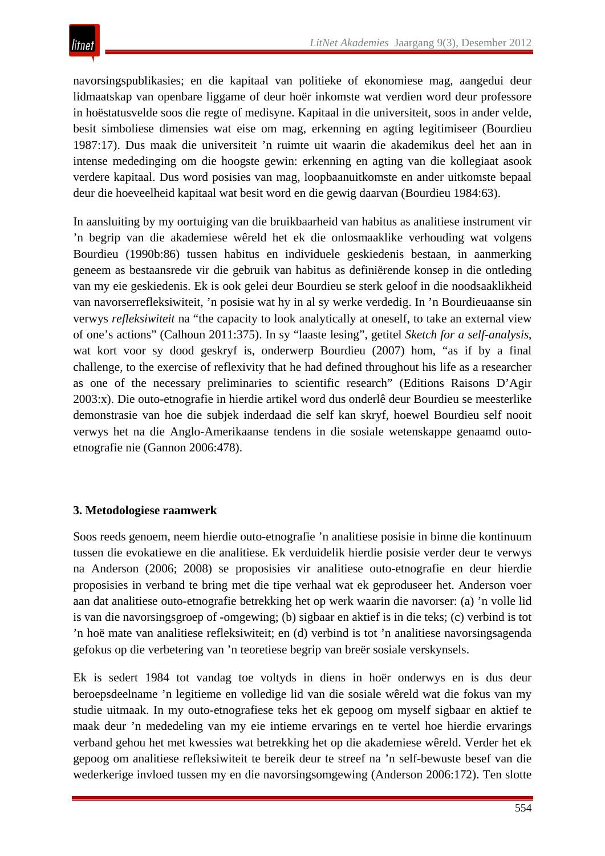navorsingspublikasies; en die kapitaal van politieke of ekonomiese mag, aangedui deur lidmaatskap van openbare liggame of deur hoër inkomste wat verdien word deur professore in hoëstatusvelde soos die regte of medisyne. Kapitaal in die universiteit, soos in ander velde, besit simboliese dimensies wat eise om mag, erkenning en agting legitimiseer (Bourdieu 1987:17). Dus maak die universiteit 'n ruimte uit waarin die akademikus deel het aan in intense mededinging om die hoogste gewin: erkenning en agting van die kollegiaat asook verdere kapitaal. Dus word posisies van mag, loopbaanuitkomste en ander uitkomste bepaal deur die hoeveelheid kapitaal wat besit word en die gewig daarvan (Bourdieu 1984:63).

In aansluiting by my oortuiging van die bruikbaarheid van habitus as analitiese instrument vir 'n begrip van die akademiese wêreld het ek die onlosmaaklike verhouding wat volgens Bourdieu (1990b:86) tussen habitus en individuele geskiedenis bestaan, in aanmerking geneem as bestaansrede vir die gebruik van habitus as definiërende konsep in die ontleding van my eie geskiedenis. Ek is ook gelei deur Bourdieu se sterk geloof in die noodsaaklikheid van navorserrefleksiwiteit, 'n posisie wat hy in al sy werke verdedig. In 'n Bourdieuaanse sin verwys *refleksiwiteit* na "the capacity to look analytically at oneself, to take an external view of one's actions" (Calhoun 2011:375). In sy "laaste lesing", getitel *Sketch for a self-analysis*, wat kort voor sy dood geskryf is, onderwerp Bourdieu (2007) hom, "as if by a final challenge, to the exercise of reflexivity that he had defined throughout his life as a researcher as one of the necessary preliminaries to scientific research" (Editions Raisons D'Agir 2003:x). Die outo-etnografie in hierdie artikel word dus onderlê deur Bourdieu se meesterlike demonstrasie van hoe die subjek inderdaad die self kan skryf, hoewel Bourdieu self nooit verwys het na die Anglo-Amerikaanse tendens in die sosiale wetenskappe genaamd outoetnografie nie (Gannon 2006:478).

# **3. Metodologiese raamwerk**

Soos reeds genoem, neem hierdie outo-etnografie 'n analitiese posisie in binne die kontinuum tussen die evokatiewe en die analitiese. Ek verduidelik hierdie posisie verder deur te verwys na Anderson (2006; 2008) se proposisies vir analitiese outo-etnografie en deur hierdie proposisies in verband te bring met die tipe verhaal wat ek geproduseer het. Anderson voer aan dat analitiese outo-etnografie betrekking het op werk waarin die navorser: (a) 'n volle lid is van die navorsingsgroep of -omgewing; (b) sigbaar en aktief is in die teks; (c) verbind is tot 'n hoë mate van analitiese refleksiwiteit; en (d) verbind is tot 'n analitiese navorsingsagenda gefokus op die verbetering van 'n teoretiese begrip van breër sosiale verskynsels.

Ek is sedert 1984 tot vandag toe voltyds in diens in hoër onderwys en is dus deur beroepsdeelname 'n legitieme en volledige lid van die sosiale wêreld wat die fokus van my studie uitmaak. In my outo-etnografiese teks het ek gepoog om myself sigbaar en aktief te maak deur 'n mededeling van my eie intieme ervarings en te vertel hoe hierdie ervarings verband gehou het met kwessies wat betrekking het op die akademiese wêreld. Verder het ek gepoog om analitiese refleksiwiteit te bereik deur te streef na 'n self-bewuste besef van die wederkerige invloed tussen my en die navorsingsomgewing (Anderson 2006:172). Ten slotte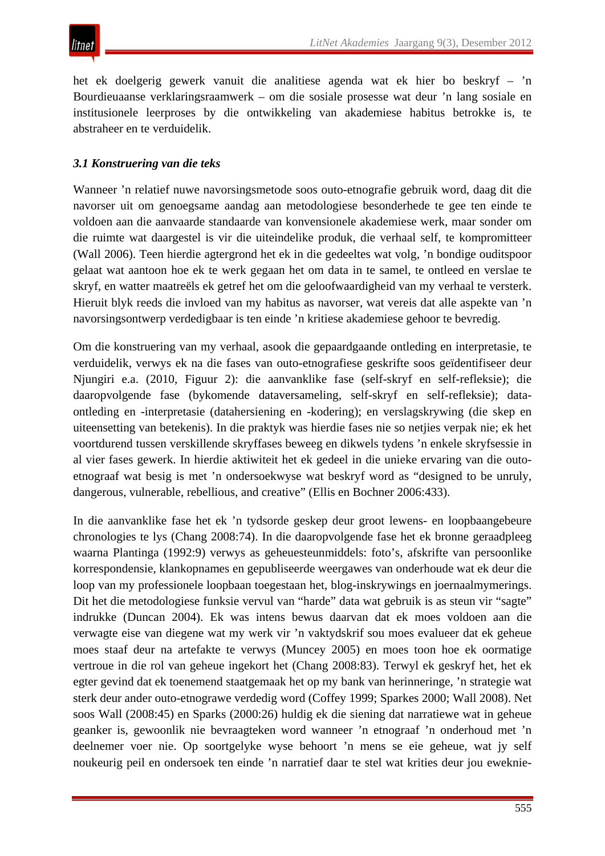

het ek doelgerig gewerk vanuit die analitiese agenda wat ek hier bo beskryf – 'n Bourdieuaanse verklaringsraamwerk – om die sosiale prosesse wat deur 'n lang sosiale en institusionele leerproses by die ontwikkeling van akademiese habitus betrokke is, te abstraheer en te verduidelik.

#### *3.1 Konstruering van die teks*

Wanneer 'n relatief nuwe navorsingsmetode soos outo-etnografie gebruik word, daag dit die navorser uit om genoegsame aandag aan metodologiese besonderhede te gee ten einde te voldoen aan die aanvaarde standaarde van konvensionele akademiese werk, maar sonder om die ruimte wat daargestel is vir die uiteindelike produk, die verhaal self, te kompromitteer (Wall 2006). Teen hierdie agtergrond het ek in die gedeeltes wat volg, 'n bondige ouditspoor gelaat wat aantoon hoe ek te werk gegaan het om data in te samel, te ontleed en verslae te skryf, en watter maatreëls ek getref het om die geloofwaardigheid van my verhaal te versterk. Hieruit blyk reeds die invloed van my habitus as navorser, wat vereis dat alle aspekte van 'n navorsingsontwerp verdedigbaar is ten einde 'n kritiese akademiese gehoor te bevredig.

Om die konstruering van my verhaal, asook die gepaardgaande ontleding en interpretasie, te verduidelik, verwys ek na die fases van outo-etnografiese geskrifte soos geïdentifiseer deur Njungiri e.a. (2010, Figuur 2): die aanvanklike fase (self-skryf en self-refleksie); die daaropvolgende fase (bykomende dataversameling, self-skryf en self-refleksie); dataontleding en -interpretasie (datahersiening en -kodering); en verslagskrywing (die skep en uiteensetting van betekenis). In die praktyk was hierdie fases nie so netjies verpak nie; ek het voortdurend tussen verskillende skryffases beweeg en dikwels tydens 'n enkele skryfsessie in al vier fases gewerk. In hierdie aktiwiteit het ek gedeel in die unieke ervaring van die outoetnograaf wat besig is met 'n ondersoekwyse wat beskryf word as "designed to be unruly, dangerous, vulnerable, rebellious, and creative" (Ellis en Bochner 2006:433).

In die aanvanklike fase het ek 'n tydsorde geskep deur groot lewens- en loopbaangebeure chronologies te lys (Chang 2008:74). In die daaropvolgende fase het ek bronne geraadpleeg waarna Plantinga (1992:9) verwys as geheuesteunmiddels: foto's, afskrifte van persoonlike korrespondensie, klankopnames en gepubliseerde weergawes van onderhoude wat ek deur die loop van my professionele loopbaan toegestaan het, blog-inskrywings en joernaalmymerings. Dit het die metodologiese funksie vervul van "harde" data wat gebruik is as steun vir "sagte" indrukke (Duncan 2004). Ek was intens bewus daarvan dat ek moes voldoen aan die verwagte eise van diegene wat my werk vir 'n vaktydskrif sou moes evalueer dat ek geheue moes staaf deur na artefakte te verwys (Muncey 2005) en moes toon hoe ek oormatige vertroue in die rol van geheue ingekort het (Chang 2008:83). Terwyl ek geskryf het, het ek egter gevind dat ek toenemend staatgemaak het op my bank van herinneringe, 'n strategie wat sterk deur ander outo-etnograwe verdedig word (Coffey 1999; Sparkes 2000; Wall 2008). Net soos Wall (2008:45) en Sparks (2000:26) huldig ek die siening dat narratiewe wat in geheue geanker is, gewoonlik nie bevraagteken word wanneer 'n etnograaf 'n onderhoud met 'n deelnemer voer nie. Op soortgelyke wyse behoort 'n mens se eie geheue, wat jy self noukeurig peil en ondersoek ten einde 'n narratief daar te stel wat krities deur jou eweknie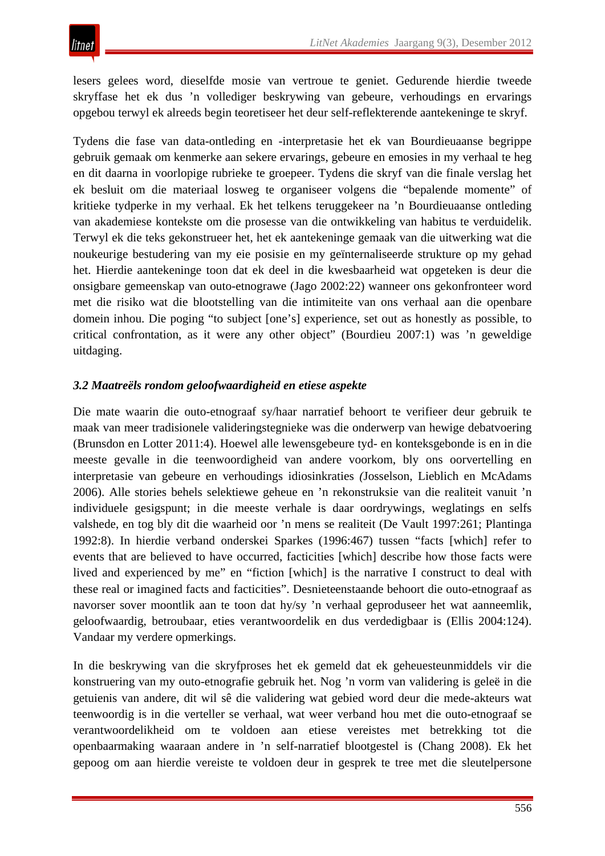lesers gelees word, dieselfde mosie van vertroue te geniet. Gedurende hierdie tweede skryffase het ek dus 'n vollediger beskrywing van gebeure, verhoudings en ervarings opgebou terwyl ek alreeds begin teoretiseer het deur self-reflekterende aantekeninge te skryf.

Tydens die fase van data-ontleding en -interpretasie het ek van Bourdieuaanse begrippe gebruik gemaak om kenmerke aan sekere ervarings, gebeure en emosies in my verhaal te heg en dit daarna in voorlopige rubrieke te groepeer. Tydens die skryf van die finale verslag het ek besluit om die materiaal losweg te organiseer volgens die "bepalende momente" of kritieke tydperke in my verhaal. Ek het telkens teruggekeer na 'n Bourdieuaanse ontleding van akademiese kontekste om die prosesse van die ontwikkeling van habitus te verduidelik. Terwyl ek die teks gekonstrueer het, het ek aantekeninge gemaak van die uitwerking wat die noukeurige bestudering van my eie posisie en my geïnternaliseerde strukture op my gehad het. Hierdie aantekeninge toon dat ek deel in die kwesbaarheid wat opgeteken is deur die onsigbare gemeenskap van outo-etnograwe (Jago 2002:22) wanneer ons gekonfronteer word met die risiko wat die blootstelling van die intimiteite van ons verhaal aan die openbare domein inhou. Die poging "to subject [one's] experience, set out as honestly as possible, to critical confrontation, as it were any other object" (Bourdieu 2007:1) was 'n geweldige uitdaging.

# *3.2 Maatreëls rondom geloofwaardigheid en etiese aspekte*

Die mate waarin die outo-etnograaf sy/haar narratief behoort te verifieer deur gebruik te maak van meer tradisionele valideringstegnieke was die onderwerp van hewige debatvoering (Brunsdon en Lotter 2011:4). Hoewel alle lewensgebeure tyd- en konteksgebonde is en in die meeste gevalle in die teenwoordigheid van andere voorkom, bly ons oorvertelling en interpretasie van gebeure en verhoudings idiosinkraties *(*Josselson, Lieblich en McAdams 2006). Alle stories behels selektiewe geheue en 'n rekonstruksie van die realiteit vanuit 'n individuele gesigspunt; in die meeste verhale is daar oordrywings, weglatings en selfs valshede, en tog bly dit die waarheid oor 'n mens se realiteit (De Vault 1997:261; Plantinga 1992:8). In hierdie verband onderskei Sparkes (1996:467) tussen "facts [which] refer to events that are believed to have occurred, facticities [which] describe how those facts were lived and experienced by me" en "fiction [which] is the narrative I construct to deal with these real or imagined facts and facticities". Desnieteenstaande behoort die outo-etnograaf as navorser sover moontlik aan te toon dat hy/sy 'n verhaal geproduseer het wat aanneemlik, geloofwaardig, betroubaar, eties verantwoordelik en dus verdedigbaar is (Ellis 2004:124). Vandaar my verdere opmerkings.

In die beskrywing van die skryfproses het ek gemeld dat ek geheuesteunmiddels vir die konstruering van my outo-etnografie gebruik het. Nog 'n vorm van validering is geleë in die getuienis van andere, dit wil sê die validering wat gebied word deur die mede-akteurs wat teenwoordig is in die verteller se verhaal, wat weer verband hou met die outo-etnograaf se verantwoordelikheid om te voldoen aan etiese vereistes met betrekking tot die openbaarmaking waaraan andere in 'n self-narratief blootgestel is (Chang 2008). Ek het gepoog om aan hierdie vereiste te voldoen deur in gesprek te tree met die sleutelpersone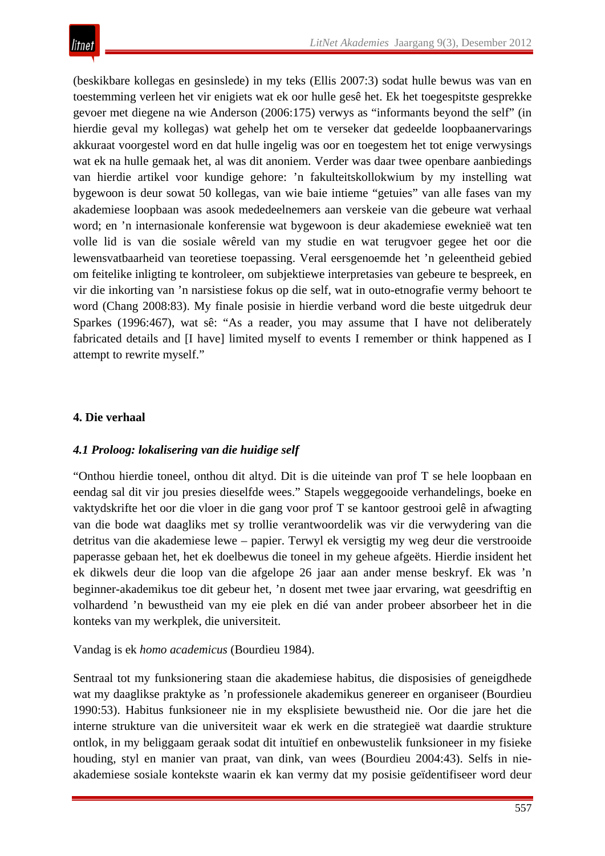(beskikbare kollegas en gesinslede) in my teks (Ellis 2007:3) sodat hulle bewus was van en toestemming verleen het vir enigiets wat ek oor hulle gesê het. Ek het toegespitste gesprekke gevoer met diegene na wie Anderson (2006:175) verwys as "informants beyond the self" (in hierdie geval my kollegas) wat gehelp het om te verseker dat gedeelde loopbaanervarings akkuraat voorgestel word en dat hulle ingelig was oor en toegestem het tot enige verwysings wat ek na hulle gemaak het, al was dit anoniem. Verder was daar twee openbare aanbiedings van hierdie artikel voor kundige gehore: 'n fakulteitskollokwium by my instelling wat bygewoon is deur sowat 50 kollegas, van wie baie intieme "getuies" van alle fases van my akademiese loopbaan was asook mededeelnemers aan verskeie van die gebeure wat verhaal word; en 'n internasionale konferensie wat bygewoon is deur akademiese eweknieë wat ten volle lid is van die sosiale wêreld van my studie en wat terugvoer gegee het oor die lewensvatbaarheid van teoretiese toepassing. Veral eersgenoemde het 'n geleentheid gebied om feitelike inligting te kontroleer, om subjektiewe interpretasies van gebeure te bespreek, en vir die inkorting van 'n narsistiese fokus op die self, wat in outo-etnografie vermy behoort te word (Chang 2008:83). My finale posisie in hierdie verband word die beste uitgedruk deur Sparkes (1996:467), wat sê: "As a reader, you may assume that I have not deliberately fabricated details and [I have] limited myself to events I remember or think happened as I attempt to rewrite myself."

## **4. Die verhaal**

# *4.1 Proloog: lokalisering van die huidige self*

"Onthou hierdie toneel, onthou dit altyd. Dit is die uiteinde van prof T se hele loopbaan en eendag sal dit vir jou presies dieselfde wees." Stapels weggegooide verhandelings, boeke en vaktydskrifte het oor die vloer in die gang voor prof T se kantoor gestrooi gelê in afwagting van die bode wat daagliks met sy trollie verantwoordelik was vir die verwydering van die detritus van die akademiese lewe – papier. Terwyl ek versigtig my weg deur die verstrooide paperasse gebaan het, het ek doelbewus die toneel in my geheue afgeëts. Hierdie insident het ek dikwels deur die loop van die afgelope 26 jaar aan ander mense beskryf. Ek was 'n beginner-akademikus toe dit gebeur het, 'n dosent met twee jaar ervaring, wat geesdriftig en volhardend 'n bewustheid van my eie plek en dié van ander probeer absorbeer het in die konteks van my werkplek, die universiteit.

#### Vandag is ek *homo academicus* (Bourdieu 1984).

Sentraal tot my funksionering staan die akademiese habitus, die disposisies of geneigdhede wat my daaglikse praktyke as 'n professionele akademikus genereer en organiseer (Bourdieu 1990:53). Habitus funksioneer nie in my eksplisiete bewustheid nie. Oor die jare het die interne strukture van die universiteit waar ek werk en die strategieë wat daardie strukture ontlok, in my beliggaam geraak sodat dit intuïtief en onbewustelik funksioneer in my fisieke houding, styl en manier van praat, van dink, van wees (Bourdieu 2004:43). Selfs in nieakademiese sosiale kontekste waarin ek kan vermy dat my posisie geïdentifiseer word deur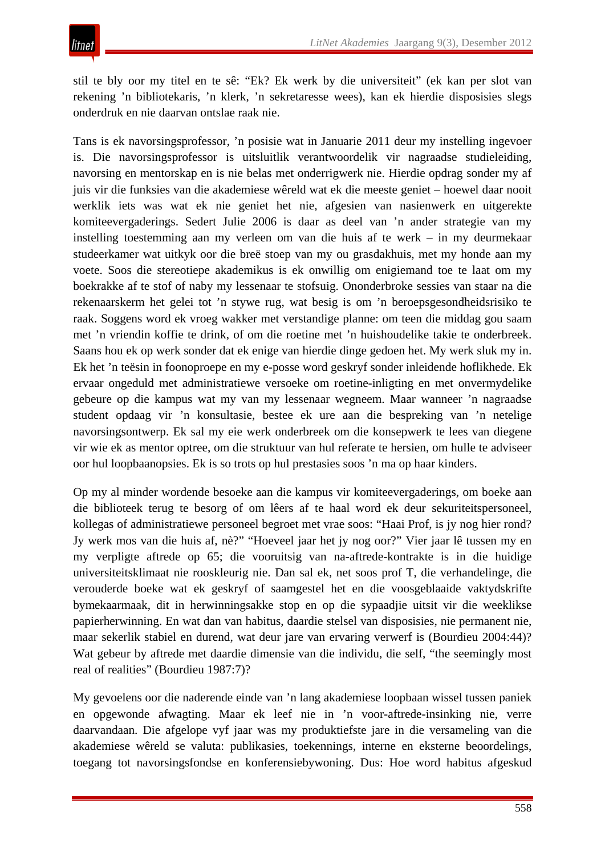stil te bly oor my titel en te sê: "Ek? Ek werk by die universiteit" (ek kan per slot van rekening 'n bibliotekaris, 'n klerk, 'n sekretaresse wees), kan ek hierdie disposisies slegs onderdruk en nie daarvan ontslae raak nie.

Tans is ek navorsingsprofessor, 'n posisie wat in Januarie 2011 deur my instelling ingevoer is. Die navorsingsprofessor is uitsluitlik verantwoordelik vir nagraadse studieleiding, navorsing en mentorskap en is nie belas met onderrigwerk nie. Hierdie opdrag sonder my af juis vir die funksies van die akademiese wêreld wat ek die meeste geniet – hoewel daar nooit werklik iets was wat ek nie geniet het nie, afgesien van nasienwerk en uitgerekte komiteevergaderings. Sedert Julie 2006 is daar as deel van 'n ander strategie van my instelling toestemming aan my verleen om van die huis af te werk – in my deurmekaar studeerkamer wat uitkyk oor die breë stoep van my ou grasdakhuis, met my honde aan my voete. Soos die stereotiepe akademikus is ek onwillig om enigiemand toe te laat om my boekrakke af te stof of naby my lessenaar te stofsuig. Ononderbroke sessies van staar na die rekenaarskerm het gelei tot 'n stywe rug, wat besig is om 'n beroepsgesondheidsrisiko te raak. Soggens word ek vroeg wakker met verstandige planne: om teen die middag gou saam met 'n vriendin koffie te drink, of om die roetine met 'n huishoudelike takie te onderbreek. Saans hou ek op werk sonder dat ek enige van hierdie dinge gedoen het. My werk sluk my in. Ek het 'n teësin in foonoproepe en my e-posse word geskryf sonder inleidende hoflikhede. Ek ervaar ongeduld met administratiewe versoeke om roetine-inligting en met onvermydelike gebeure op die kampus wat my van my lessenaar wegneem. Maar wanneer 'n nagraadse student opdaag vir 'n konsultasie, bestee ek ure aan die bespreking van 'n netelige navorsingsontwerp. Ek sal my eie werk onderbreek om die konsepwerk te lees van diegene vir wie ek as mentor optree, om die struktuur van hul referate te hersien, om hulle te adviseer oor hul loopbaanopsies. Ek is so trots op hul prestasies soos 'n ma op haar kinders.

Op my al minder wordende besoeke aan die kampus vir komiteevergaderings, om boeke aan die biblioteek terug te besorg of om lêers af te haal word ek deur sekuriteitspersoneel, kollegas of administratiewe personeel begroet met vrae soos: "Haai Prof, is jy nog hier rond? Jy werk mos van die huis af, nè?" "Hoeveel jaar het jy nog oor?" Vier jaar lê tussen my en my verpligte aftrede op 65; die vooruitsig van na-aftrede-kontrakte is in die huidige universiteitsklimaat nie rooskleurig nie. Dan sal ek, net soos prof T, die verhandelinge, die verouderde boeke wat ek geskryf of saamgestel het en die voosgeblaaide vaktydskrifte bymekaarmaak, dit in herwinningsakke stop en op die sypaadjie uitsit vir die weeklikse papierherwinning. En wat dan van habitus, daardie stelsel van disposisies, nie permanent nie, maar sekerlik stabiel en durend, wat deur jare van ervaring verwerf is (Bourdieu 2004:44)? Wat gebeur by aftrede met daardie dimensie van die individu, die self, "the seemingly most real of realities" (Bourdieu 1987:7)?

My gevoelens oor die naderende einde van 'n lang akademiese loopbaan wissel tussen paniek en opgewonde afwagting. Maar ek leef nie in 'n voor-aftrede-insinking nie, verre daarvandaan. Die afgelope vyf jaar was my produktiefste jare in die versameling van die akademiese wêreld se valuta: publikasies, toekennings, interne en eksterne beoordelings, toegang tot navorsingsfondse en konferensiebywoning. Dus: Hoe word habitus afgeskud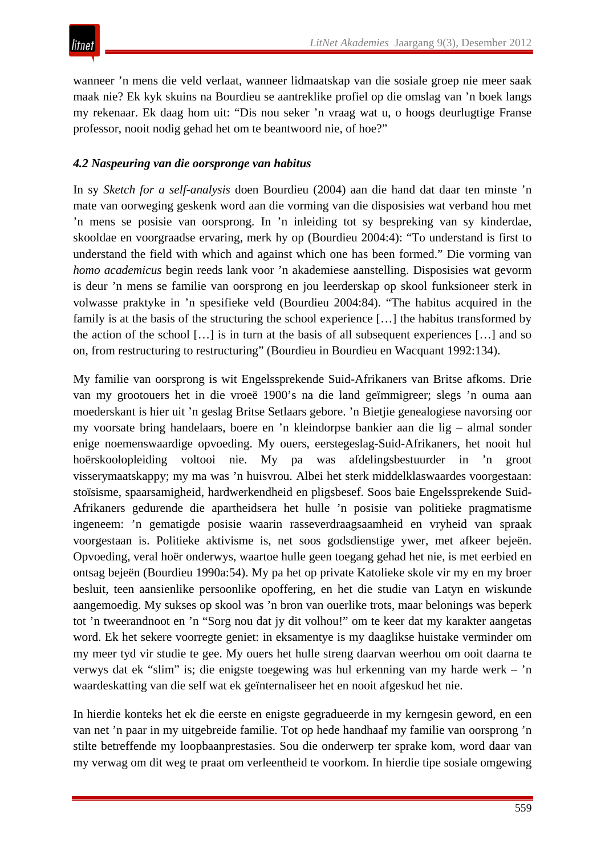wanneer 'n mens die veld verlaat, wanneer lidmaatskap van die sosiale groep nie meer saak maak nie? Ek kyk skuins na Bourdieu se aantreklike profiel op die omslag van 'n boek langs my rekenaar. Ek daag hom uit: "Dis nou seker 'n vraag wat u, o hoogs deurlugtige Franse professor, nooit nodig gehad het om te beantwoord nie, of hoe?"

## *4.2 Naspeuring van die oorspronge van habitus*

In sy *Sketch for a self-analysis* doen Bourdieu (2004) aan die hand dat daar ten minste 'n mate van oorweging geskenk word aan die vorming van die disposisies wat verband hou met 'n mens se posisie van oorsprong. In 'n inleiding tot sy bespreking van sy kinderdae, skooldae en voorgraadse ervaring, merk hy op (Bourdieu 2004:4): "To understand is first to understand the field with which and against which one has been formed." Die vorming van *homo academicus* begin reeds lank voor 'n akademiese aanstelling. Disposisies wat gevorm is deur 'n mens se familie van oorsprong en jou leerderskap op skool funksioneer sterk in volwasse praktyke in 'n spesifieke veld (Bourdieu 2004:84). "The habitus acquired in the family is at the basis of the structuring the school experience […] the habitus transformed by the action of the school  $[\dots]$  is in turn at the basis of all subsequent experiences  $[\dots]$  and so on, from restructuring to restructuring" (Bourdieu in Bourdieu en Wacquant 1992:134).

My familie van oorsprong is wit Engelssprekende Suid-Afrikaners van Britse afkoms. Drie van my grootouers het in die vroeë 1900's na die land geïmmigreer; slegs 'n ouma aan moederskant is hier uit 'n geslag Britse Setlaars gebore. 'n Bietjie genealogiese navorsing oor my voorsate bring handelaars, boere en 'n kleindorpse bankier aan die lig – almal sonder enige noemenswaardige opvoeding. My ouers, eerstegeslag-Suid-Afrikaners, het nooit hul hoërskoolopleiding voltooi nie. My pa was afdelingsbestuurder in 'n groot visserymaatskappy; my ma was 'n huisvrou. Albei het sterk middelklaswaardes voorgestaan: stoïsisme, spaarsamigheid, hardwerkendheid en pligsbesef. Soos baie Engelssprekende Suid-Afrikaners gedurende die apartheidsera het hulle 'n posisie van politieke pragmatisme ingeneem: 'n gematigde posisie waarin rasseverdraagsaamheid en vryheid van spraak voorgestaan is. Politieke aktivisme is, net soos godsdienstige ywer, met afkeer bejeën. Opvoeding, veral hoër onderwys, waartoe hulle geen toegang gehad het nie, is met eerbied en ontsag bejeën (Bourdieu 1990a:54). My pa het op private Katolieke skole vir my en my broer besluit, teen aansienlike persoonlike opoffering, en het die studie van Latyn en wiskunde aangemoedig. My sukses op skool was 'n bron van ouerlike trots, maar belonings was beperk tot 'n tweerandnoot en 'n "Sorg nou dat jy dit volhou!" om te keer dat my karakter aangetas word. Ek het sekere voorregte geniet: in eksamentye is my daaglikse huistake verminder om my meer tyd vir studie te gee. My ouers het hulle streng daarvan weerhou om ooit daarna te verwys dat ek "slim" is; die enigste toegewing was hul erkenning van my harde werk – 'n waardeskatting van die self wat ek geïnternaliseer het en nooit afgeskud het nie.

In hierdie konteks het ek die eerste en enigste gegradueerde in my kerngesin geword, en een van net 'n paar in my uitgebreide familie. Tot op hede handhaaf my familie van oorsprong 'n stilte betreffende my loopbaanprestasies. Sou die onderwerp ter sprake kom, word daar van my verwag om dit weg te praat om verleentheid te voorkom. In hierdie tipe sosiale omgewing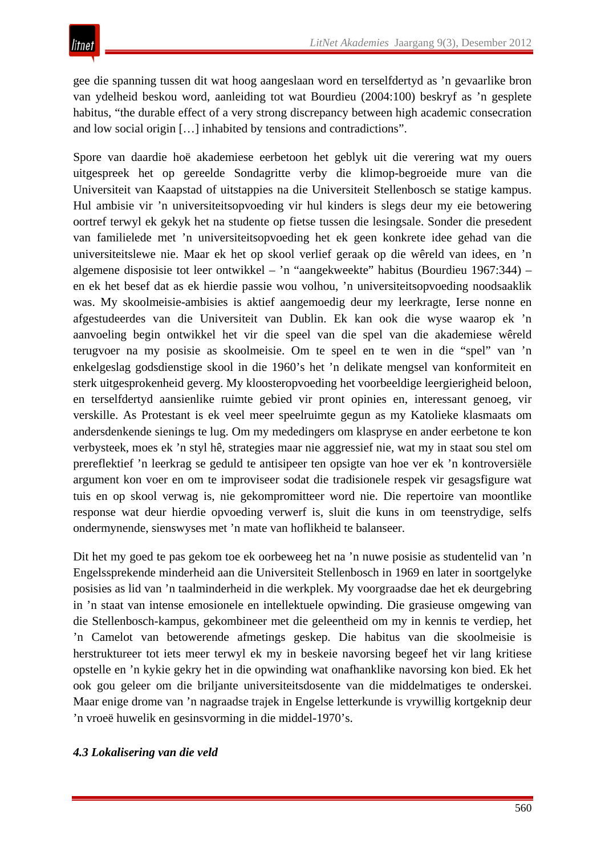gee die spanning tussen dit wat hoog aangeslaan word en terselfdertyd as 'n gevaarlike bron van ydelheid beskou word, aanleiding tot wat Bourdieu (2004:100) beskryf as 'n gesplete habitus, "the durable effect of a very strong discrepancy between high academic consecration and low social origin […] inhabited by tensions and contradictions".

Spore van daardie hoë akademiese eerbetoon het geblyk uit die verering wat my ouers uitgespreek het op gereelde Sondagritte verby die klimop-begroeide mure van die Universiteit van Kaapstad of uitstappies na die Universiteit Stellenbosch se statige kampus. Hul ambisie vir 'n universiteitsopvoeding vir hul kinders is slegs deur my eie betowering oortref terwyl ek gekyk het na studente op fietse tussen die lesingsale. Sonder die presedent van familielede met 'n universiteitsopvoeding het ek geen konkrete idee gehad van die universiteitslewe nie. Maar ek het op skool verlief geraak op die wêreld van idees, en 'n algemene disposisie tot leer ontwikkel – 'n "aangekweekte" habitus (Bourdieu 1967:344) – en ek het besef dat as ek hierdie passie wou volhou, 'n universiteitsopvoeding noodsaaklik was. My skoolmeisie-ambisies is aktief aangemoedig deur my leerkragte, Ierse nonne en afgestudeerdes van die Universiteit van Dublin. Ek kan ook die wyse waarop ek 'n aanvoeling begin ontwikkel het vir die speel van die spel van die akademiese wêreld terugvoer na my posisie as skoolmeisie. Om te speel en te wen in die "spel" van 'n enkelgeslag godsdienstige skool in die 1960's het 'n delikate mengsel van konformiteit en sterk uitgesprokenheid geverg. My kloosteropvoeding het voorbeeldige leergierigheid beloon, en terselfdertyd aansienlike ruimte gebied vir pront opinies en, interessant genoeg, vir verskille. As Protestant is ek veel meer speelruimte gegun as my Katolieke klasmaats om andersdenkende sienings te lug. Om my mededingers om klaspryse en ander eerbetone te kon verbysteek, moes ek 'n styl hê, strategies maar nie aggressief nie, wat my in staat sou stel om prereflektief 'n leerkrag se geduld te antisipeer ten opsigte van hoe ver ek 'n kontroversiële argument kon voer en om te improviseer sodat die tradisionele respek vir gesagsfigure wat tuis en op skool verwag is, nie gekompromitteer word nie. Die repertoire van moontlike response wat deur hierdie opvoeding verwerf is, sluit die kuns in om teenstrydige, selfs ondermynende, sienswyses met 'n mate van hoflikheid te balanseer.

Dit het my goed te pas gekom toe ek oorbeweeg het na 'n nuwe posisie as studentelid van 'n Engelssprekende minderheid aan die Universiteit Stellenbosch in 1969 en later in soortgelyke posisies as lid van 'n taalminderheid in die werkplek. My voorgraadse dae het ek deurgebring in 'n staat van intense emosionele en intellektuele opwinding. Die grasieuse omgewing van die Stellenbosch-kampus, gekombineer met die geleentheid om my in kennis te verdiep, het 'n Camelot van betowerende afmetings geskep. Die habitus van die skoolmeisie is herstruktureer tot iets meer terwyl ek my in beskeie navorsing begeef het vir lang kritiese opstelle en 'n kykie gekry het in die opwinding wat onafhanklike navorsing kon bied. Ek het ook gou geleer om die briljante universiteitsdosente van die middelmatiges te onderskei. Maar enige drome van 'n nagraadse trajek in Engelse letterkunde is vrywillig kortgeknip deur 'n vroeë huwelik en gesinsvorming in die middel-1970's.

# *4.3 Lokalisering van die veld*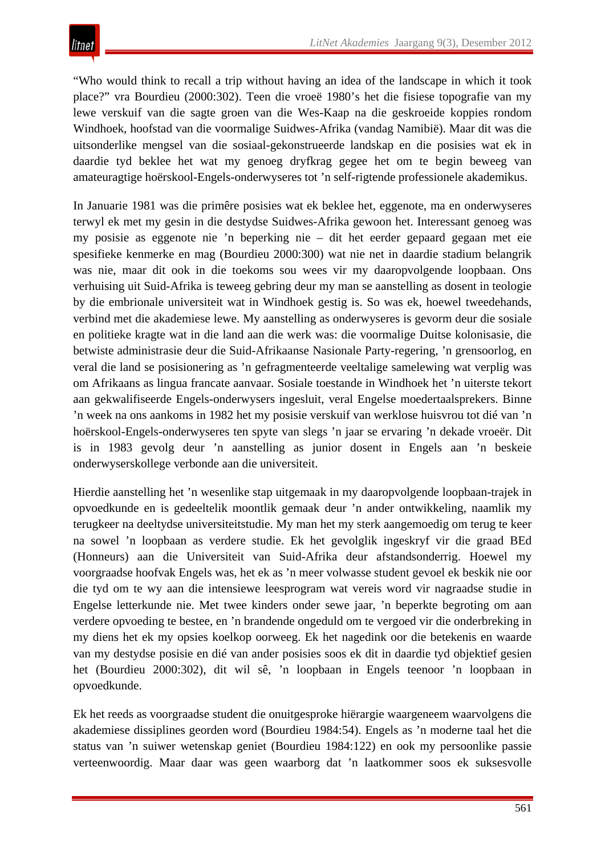"Who would think to recall a trip without having an idea of the landscape in which it took place?" vra Bourdieu (2000:302). Teen die vroeë 1980's het die fisiese topografie van my lewe verskuif van die sagte groen van die Wes-Kaap na die geskroeide koppies rondom Windhoek, hoofstad van die voormalige Suidwes-Afrika (vandag Namibië). Maar dit was die uitsonderlike mengsel van die sosiaal-gekonstrueerde landskap en die posisies wat ek in daardie tyd beklee het wat my genoeg dryfkrag gegee het om te begin beweeg van amateuragtige hoërskool-Engels-onderwyseres tot 'n self-rigtende professionele akademikus.

In Januarie 1981 was die primêre posisies wat ek beklee het, eggenote, ma en onderwyseres terwyl ek met my gesin in die destydse Suidwes-Afrika gewoon het. Interessant genoeg was my posisie as eggenote nie 'n beperking nie – dit het eerder gepaard gegaan met eie spesifieke kenmerke en mag (Bourdieu 2000:300) wat nie net in daardie stadium belangrik was nie, maar dit ook in die toekoms sou wees vir my daaropvolgende loopbaan. Ons verhuising uit Suid-Afrika is teweeg gebring deur my man se aanstelling as dosent in teologie by die embrionale universiteit wat in Windhoek gestig is. So was ek, hoewel tweedehands, verbind met die akademiese lewe. My aanstelling as onderwyseres is gevorm deur die sosiale en politieke kragte wat in die land aan die werk was: die voormalige Duitse kolonisasie, die betwiste administrasie deur die Suid-Afrikaanse Nasionale Party-regering, 'n grensoorlog, en veral die land se posisionering as 'n gefragmenteerde veeltalige samelewing wat verplig was om Afrikaans as lingua francate aanvaar*.* Sosiale toestande in Windhoek het 'n uiterste tekort aan gekwalifiseerde Engels-onderwysers ingesluit, veral Engelse moedertaalsprekers. Binne 'n week na ons aankoms in 1982 het my posisie verskuif van werklose huisvrou tot dié van 'n hoërskool-Engels-onderwyseres ten spyte van slegs 'n jaar se ervaring 'n dekade vroeër. Dit is in 1983 gevolg deur 'n aanstelling as junior dosent in Engels aan 'n beskeie onderwyserskollege verbonde aan die universiteit.

Hierdie aanstelling het 'n wesenlike stap uitgemaak in my daaropvolgende loopbaan-trajek in opvoedkunde en is gedeeltelik moontlik gemaak deur 'n ander ontwikkeling, naamlik my terugkeer na deeltydse universiteitstudie. My man het my sterk aangemoedig om terug te keer na sowel 'n loopbaan as verdere studie. Ek het gevolglik ingeskryf vir die graad BEd (Honneurs) aan die Universiteit van Suid-Afrika deur afstandsonderrig. Hoewel my voorgraadse hoofvak Engels was, het ek as 'n meer volwasse student gevoel ek beskik nie oor die tyd om te wy aan die intensiewe leesprogram wat vereis word vir nagraadse studie in Engelse letterkunde nie. Met twee kinders onder sewe jaar, 'n beperkte begroting om aan verdere opvoeding te bestee, en 'n brandende ongeduld om te vergoed vir die onderbreking in my diens het ek my opsies koelkop oorweeg. Ek het nagedink oor die betekenis en waarde van my destydse posisie en dié van ander posisies soos ek dit in daardie tyd objektief gesien het (Bourdieu 2000:302), dit wil sê, 'n loopbaan in Engels teenoor 'n loopbaan in opvoedkunde.

Ek het reeds as voorgraadse student die onuitgesproke hiërargie waargeneem waarvolgens die akademiese dissiplines georden word (Bourdieu 1984:54). Engels as 'n moderne taal het die status van 'n suiwer wetenskap geniet (Bourdieu 1984:122) en ook my persoonlike passie verteenwoordig. Maar daar was geen waarborg dat 'n laatkommer soos ek suksesvolle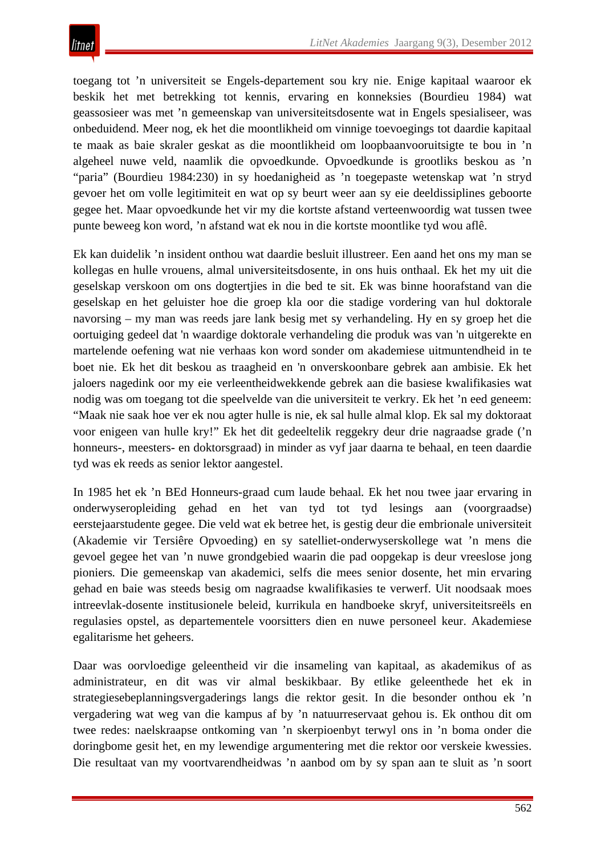toegang tot 'n universiteit se Engels-departement sou kry nie. Enige kapitaal waaroor ek beskik het met betrekking tot kennis, ervaring en konneksies (Bourdieu 1984) wat geassosieer was met 'n gemeenskap van universiteitsdosente wat in Engels spesialiseer, was onbeduidend. Meer nog, ek het die moontlikheid om vinnige toevoegings tot daardie kapitaal te maak as baie skraler geskat as die moontlikheid om loopbaanvooruitsigte te bou in 'n algeheel nuwe veld, naamlik die opvoedkunde. Opvoedkunde is grootliks beskou as 'n "paria" (Bourdieu 1984:230) in sy hoedanigheid as 'n toegepaste wetenskap wat 'n stryd gevoer het om volle legitimiteit en wat op sy beurt weer aan sy eie deeldissiplines geboorte gegee het. Maar opvoedkunde het vir my die kortste afstand verteenwoordig wat tussen twee punte beweeg kon word, 'n afstand wat ek nou in die kortste moontlike tyd wou aflê.

Ek kan duidelik 'n insident onthou wat daardie besluit illustreer. Een aand het ons my man se kollegas en hulle vrouens, almal universiteitsdosente, in ons huis onthaal. Ek het my uit die geselskap verskoon om ons dogtertjies in die bed te sit. Ek was binne hoorafstand van die geselskap en het geluister hoe die groep kla oor die stadige vordering van hul doktorale navorsing – my man was reeds jare lank besig met sy verhandeling. Hy en sy groep het die oortuiging gedeel dat 'n waardige doktorale verhandeling die produk was van 'n uitgerekte en martelende oefening wat nie verhaas kon word sonder om akademiese uitmuntendheid in te boet nie. Ek het dit beskou as traagheid en 'n onverskoonbare gebrek aan ambisie. Ek het jaloers nagedink oor my eie verleentheidwekkende gebrek aan die basiese kwalifikasies wat nodig was om toegang tot die speelvelde van die universiteit te verkry. Ek het 'n eed geneem: "Maak nie saak hoe ver ek nou agter hulle is nie, ek sal hulle almal klop. Ek sal my doktoraat voor enigeen van hulle kry!" Ek het dit gedeeltelik reggekry deur drie nagraadse grade ('n honneurs-, meesters- en doktorsgraad) in minder as vyf jaar daarna te behaal, en teen daardie tyd was ek reeds as senior lektor aangestel.

In 1985 het ek 'n BEd Honneurs-graad cum laude behaal*.* Ek het nou twee jaar ervaring in onderwyseropleiding gehad en het van tyd tot tyd lesings aan (voorgraadse) eerstejaarstudente gegee. Die veld wat ek betree het, is gestig deur die embrionale universiteit (Akademie vir Tersiêre Opvoeding) en sy satelliet-onderwyserskollege wat 'n mens die gevoel gegee het van 'n nuwe grondgebied waarin die pad oopgekap is deur vreeslose jong pioniers*.* Die gemeenskap van akademici, selfs die mees senior dosente, het min ervaring gehad en baie was steeds besig om nagraadse kwalifikasies te verwerf. Uit noodsaak moes intreevlak-dosente institusionele beleid, kurrikula en handboeke skryf, universiteitsreëls en regulasies opstel, as departementele voorsitters dien en nuwe personeel keur. Akademiese egalitarisme het geheers.

Daar was oorvloedige geleentheid vir die insameling van kapitaal, as akademikus of as administrateur, en dit was vir almal beskikbaar. By etlike geleenthede het ek in strategiesebeplanningsvergaderings langs die rektor gesit. In die besonder onthou ek 'n vergadering wat weg van die kampus af by 'n natuurreservaat gehou is. Ek onthou dit om twee redes: naelskraapse ontkoming van 'n skerpioenbyt terwyl ons in 'n boma onder die doringbome gesit het, en my lewendige argumentering met die rektor oor verskeie kwessies. Die resultaat van my voortvarendheidwas 'n aanbod om by sy span aan te sluit as 'n soort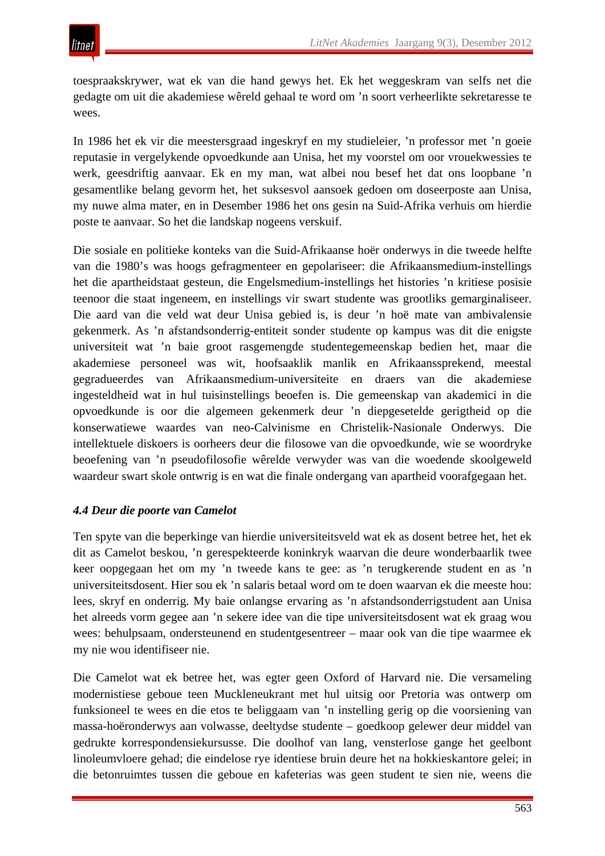toespraakskrywer, wat ek van die hand gewys het. Ek het weggeskram van selfs net die gedagte om uit die akademiese wêreld gehaal te word om 'n soort verheerlikte sekretaresse te wees.

In 1986 het ek vir die meestersgraad ingeskryf en my studieleier, 'n professor met 'n goeie reputasie in vergelykende opvoedkunde aan Unisa, het my voorstel om oor vrouekwessies te werk, geesdriftig aanvaar. Ek en my man, wat albei nou besef het dat ons loopbane 'n gesamentlike belang gevorm het, het suksesvol aansoek gedoen om doseerposte aan Unisa, my nuwe alma mater, en in Desember 1986 het ons gesin na Suid-Afrika verhuis om hierdie poste te aanvaar. So het die landskap nogeens verskuif.

Die sosiale en politieke konteks van die Suid-Afrikaanse hoër onderwys in die tweede helfte van die 1980's was hoogs gefragmenteer en gepolariseer: die Afrikaansmedium-instellings het die apartheidstaat gesteun, die Engelsmedium-instellings het histories 'n kritiese posisie teenoor die staat ingeneem, en instellings vir swart studente was grootliks gemarginaliseer. Die aard van die veld wat deur Unisa gebied is, is deur 'n hoë mate van ambivalensie gekenmerk. As 'n afstandsonderrig-entiteit sonder studente op kampus was dit die enigste universiteit wat 'n baie groot rasgemengde studentegemeenskap bedien het, maar die akademiese personeel was wit, hoofsaaklik manlik en Afrikaanssprekend, meestal gegradueerdes van Afrikaansmedium-universiteite en draers van die akademiese ingesteldheid wat in hul tuisinstellings beoefen is. Die gemeenskap van akademici in die opvoedkunde is oor die algemeen gekenmerk deur 'n diepgesetelde gerigtheid op die konserwatiewe waardes van neo-Calvinisme en Christelik-Nasionale Onderwys. Die intellektuele diskoers is oorheers deur die filosowe van die opvoedkunde, wie se woordryke beoefening van 'n pseudofilosofie wêrelde verwyder was van die woedende skoolgeweld waardeur swart skole ontwrig is en wat die finale ondergang van apartheid voorafgegaan het.

# *4.4 Deur die poorte van Camelot*

Ten spyte van die beperkinge van hierdie universiteitsveld wat ek as dosent betree het, het ek dit as Camelot beskou, 'n gerespekteerde koninkryk waarvan die deure wonderbaarlik twee keer oopgegaan het om my 'n tweede kans te gee: as 'n terugkerende student en as 'n universiteitsdosent. Hier sou ek 'n salaris betaal word om te doen waarvan ek die meeste hou: lees, skryf en onderrig. My baie onlangse ervaring as 'n afstandsonderrigstudent aan Unisa het alreeds vorm gegee aan 'n sekere idee van die tipe universiteitsdosent wat ek graag wou wees: behulpsaam, ondersteunend en studentgesentreer – maar ook van die tipe waarmee ek my nie wou identifiseer nie.

Die Camelot wat ek betree het, was egter geen Oxford of Harvard nie. Die versameling modernistiese geboue teen Muckleneukrant met hul uitsig oor Pretoria was ontwerp om funksioneel te wees en die etos te beliggaam van 'n instelling gerig op die voorsiening van massa-hoëronderwys aan volwasse, deeltydse studente – goedkoop gelewer deur middel van gedrukte korrespondensiekursusse. Die doolhof van lang, vensterlose gange het geelbont linoleumvloere gehad; die eindelose rye identiese bruin deure het na hokkieskantore gelei; in die betonruimtes tussen die geboue en kafeterias was geen student te sien nie, weens die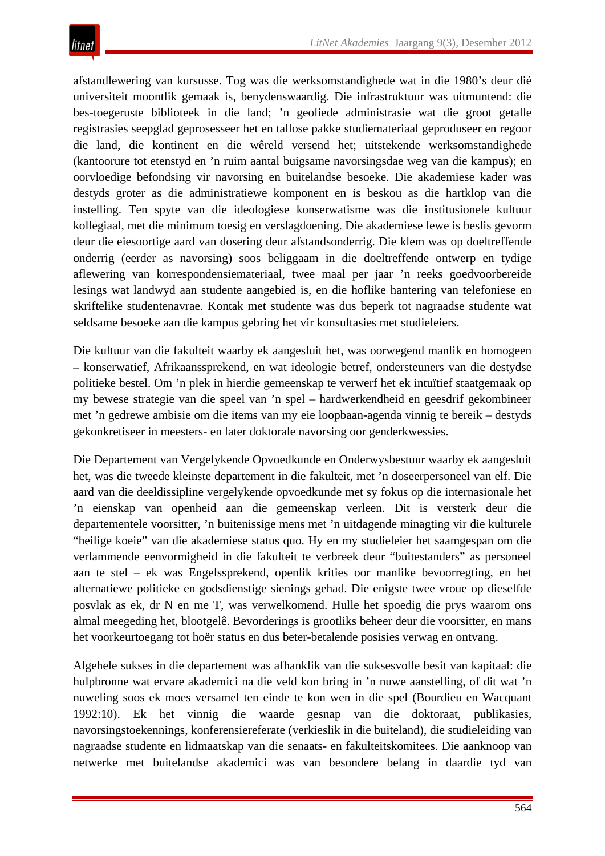afstandlewering van kursusse. Tog was die werksomstandighede wat in die 1980's deur dié universiteit moontlik gemaak is, benydenswaardig. Die infrastruktuur was uitmuntend: die bes-toegeruste biblioteek in die land; 'n geoliede administrasie wat die groot getalle registrasies seepglad geprosesseer het en tallose pakke studiemateriaal geproduseer en regoor die land, die kontinent en die wêreld versend het; uitstekende werksomstandighede (kantoorure tot etenstyd en 'n ruim aantal buigsame navorsingsdae weg van die kampus); en oorvloedige befondsing vir navorsing en buitelandse besoeke. Die akademiese kader was destyds groter as die administratiewe komponent en is beskou as die hartklop van die instelling. Ten spyte van die ideologiese konserwatisme was die institusionele kultuur kollegiaal, met die minimum toesig en verslagdoening. Die akademiese lewe is beslis gevorm deur die eiesoortige aard van dosering deur afstandsonderrig. Die klem was op doeltreffende onderrig (eerder as navorsing) soos beliggaam in die doeltreffende ontwerp en tydige aflewering van korrespondensiemateriaal, twee maal per jaar 'n reeks goedvoorbereide lesings wat landwyd aan studente aangebied is, en die hoflike hantering van telefoniese en skriftelike studentenavrae. Kontak met studente was dus beperk tot nagraadse studente wat seldsame besoeke aan die kampus gebring het vir konsultasies met studieleiers.

Die kultuur van die fakulteit waarby ek aangesluit het, was oorwegend manlik en homogeen – konserwatief, Afrikaanssprekend, en wat ideologie betref, ondersteuners van die destydse politieke bestel. Om 'n plek in hierdie gemeenskap te verwerf het ek intuïtief staatgemaak op my bewese strategie van die speel van 'n spel – hardwerkendheid en geesdrif gekombineer met 'n gedrewe ambisie om die items van my eie loopbaan-agenda vinnig te bereik – destyds gekonkretiseer in meesters- en later doktorale navorsing oor genderkwessies.

Die Departement van Vergelykende Opvoedkunde en Onderwysbestuur waarby ek aangesluit het, was die tweede kleinste departement in die fakulteit, met 'n doseerpersoneel van elf. Die aard van die deeldissipline vergelykende opvoedkunde met sy fokus op die internasionale het 'n eienskap van openheid aan die gemeenskap verleen. Dit is versterk deur die departementele voorsitter, 'n buitenissige mens met 'n uitdagende minagting vir die kulturele "heilige koeie" van die akademiese status quo. Hy en my studieleier het saamgespan om die verlammende eenvormigheid in die fakulteit te verbreek deur "buitestanders" as personeel aan te stel – ek was Engelssprekend, openlik krities oor manlike bevoorregting, en het alternatiewe politieke en godsdienstige sienings gehad. Die enigste twee vroue op dieselfde posvlak as ek, dr N en me T, was verwelkomend. Hulle het spoedig die prys waarom ons almal meegeding het, blootgelê. Bevorderings is grootliks beheer deur die voorsitter, en mans het voorkeurtoegang tot hoër status en dus beter-betalende posisies verwag en ontvang.

Algehele sukses in die departement was afhanklik van die suksesvolle besit van kapitaal: die hulpbronne wat ervare akademici na die veld kon bring in 'n nuwe aanstelling, of dit wat 'n nuweling soos ek moes versamel ten einde te kon wen in die spel (Bourdieu en Wacquant 1992:10). Ek het vinnig die waarde gesnap van die doktoraat, publikasies, navorsingstoekennings, konferensiereferate (verkieslik in die buiteland), die studieleiding van nagraadse studente en lidmaatskap van die senaats- en fakulteitskomitees. Die aanknoop van netwerke met buitelandse akademici was van besondere belang in daardie tyd van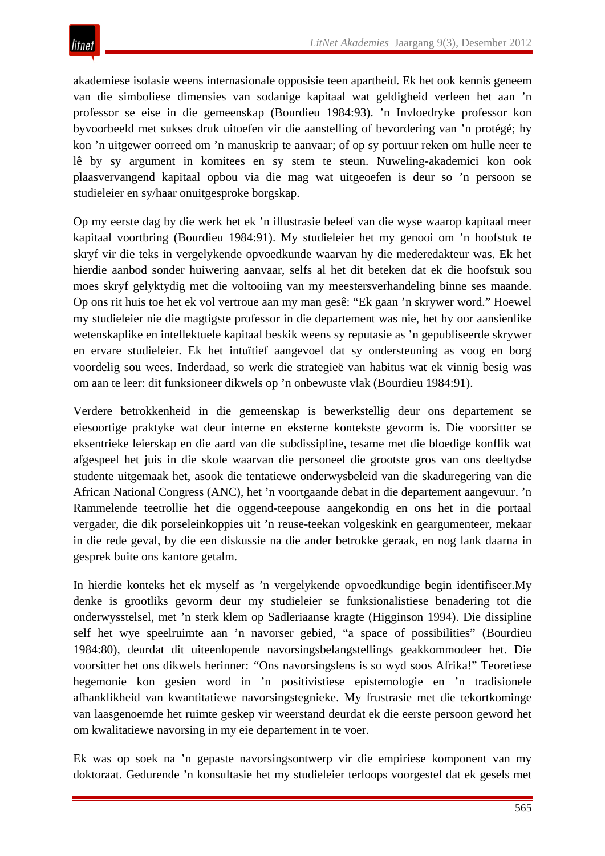akademiese isolasie weens internasionale opposisie teen apartheid. Ek het ook kennis geneem van die simboliese dimensies van sodanige kapitaal wat geldigheid verleen het aan 'n professor se eise in die gemeenskap (Bourdieu 1984:93). 'n Invloedryke professor kon byvoorbeeld met sukses druk uitoefen vir die aanstelling of bevordering van 'n protégé; hy kon 'n uitgewer oorreed om 'n manuskrip te aanvaar; of op sy portuur reken om hulle neer te lê by sy argument in komitees en sy stem te steun. Nuweling-akademici kon ook plaasvervangend kapitaal opbou via die mag wat uitgeoefen is deur so 'n persoon se studieleier en sy/haar onuitgesproke borgskap.

Op my eerste dag by die werk het ek 'n illustrasie beleef van die wyse waarop kapitaal meer kapitaal voortbring (Bourdieu 1984:91). My studieleier het my genooi om 'n hoofstuk te skryf vir die teks in vergelykende opvoedkunde waarvan hy die mederedakteur was. Ek het hierdie aanbod sonder huiwering aanvaar, selfs al het dit beteken dat ek die hoofstuk sou moes skryf gelyktydig met die voltooiing van my meestersverhandeling binne ses maande. Op ons rit huis toe het ek vol vertroue aan my man gesê: "Ek gaan 'n skrywer word." Hoewel my studieleier nie die magtigste professor in die departement was nie, het hy oor aansienlike wetenskaplike en intellektuele kapitaal beskik weens sy reputasie as 'n gepubliseerde skrywer en ervare studieleier. Ek het intuïtief aangevoel dat sy ondersteuning as voog en borg voordelig sou wees. Inderdaad, so werk die strategieë van habitus wat ek vinnig besig was om aan te leer: dit funksioneer dikwels op 'n onbewuste vlak (Bourdieu 1984:91).

Verdere betrokkenheid in die gemeenskap is bewerkstellig deur ons departement se eiesoortige praktyke wat deur interne en eksterne kontekste gevorm is. Die voorsitter se eksentrieke leierskap en die aard van die subdissipline, tesame met die bloedige konflik wat afgespeel het juis in die skole waarvan die personeel die grootste gros van ons deeltydse studente uitgemaak het, asook die tentatiewe onderwysbeleid van die skaduregering van die African National Congress (ANC), het 'n voortgaande debat in die departement aangevuur. 'n Rammelende teetrollie het die oggend-teepouse aangekondig en ons het in die portaal vergader, die dik porseleinkoppies uit 'n reuse-teekan volgeskink en geargumenteer, mekaar in die rede geval, by die een diskussie na die ander betrokke geraak, en nog lank daarna in gesprek buite ons kantore getalm.

In hierdie konteks het ek myself as 'n vergelykende opvoedkundige begin identifiseer.My denke is grootliks gevorm deur my studieleier se funksionalistiese benadering tot die onderwysstelsel, met 'n sterk klem op Sadleriaanse kragte (Higginson 1994). Die dissipline self het wye speelruimte aan 'n navorser gebied, "a space of possibilities" (Bourdieu 1984:80), deurdat dit uiteenlopende navorsingsbelangstellings geakkommodeer het. Die voorsitter het ons dikwels herinner: *"*Ons navorsingslens is so wyd soos Afrika!" Teoretiese hegemonie kon gesien word in 'n positivistiese epistemologie en 'n tradisionele afhanklikheid van kwantitatiewe navorsingstegnieke. My frustrasie met die tekortkominge van laasgenoemde het ruimte geskep vir weerstand deurdat ek die eerste persoon geword het om kwalitatiewe navorsing in my eie departement in te voer.

Ek was op soek na 'n gepaste navorsingsontwerp vir die empiriese komponent van my doktoraat. Gedurende 'n konsultasie het my studieleier terloops voorgestel dat ek gesels met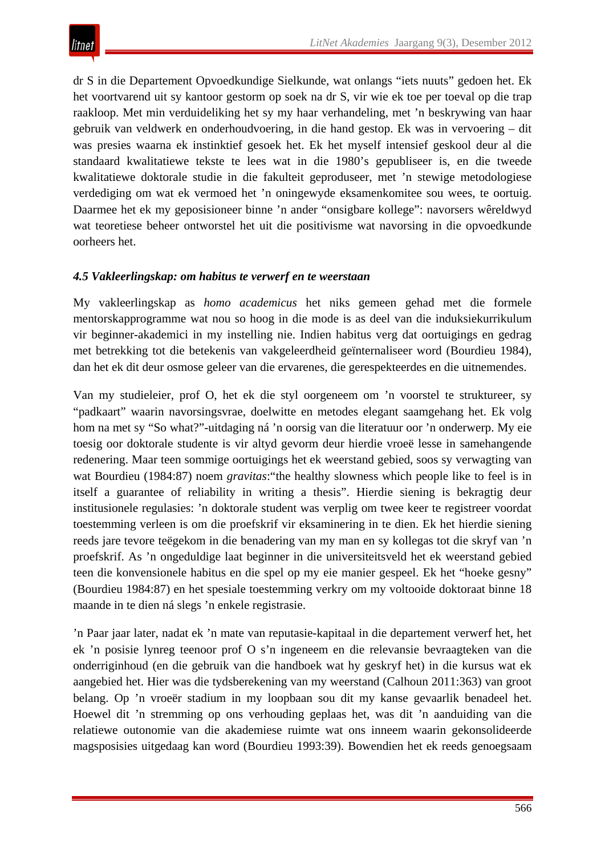dr S in die Departement Opvoedkundige Sielkunde, wat onlangs "iets nuuts" gedoen het. Ek het voortvarend uit sy kantoor gestorm op soek na dr S, vir wie ek toe per toeval op die trap raakloop. Met min verduideliking het sy my haar verhandeling, met 'n beskrywing van haar gebruik van veldwerk en onderhoudvoering, in die hand gestop. Ek was in vervoering – dit was presies waarna ek instinktief gesoek het. Ek het myself intensief geskool deur al die standaard kwalitatiewe tekste te lees wat in die 1980's gepubliseer is, en die tweede kwalitatiewe doktorale studie in die fakulteit geproduseer, met 'n stewige metodologiese verdediging om wat ek vermoed het 'n oningewyde eksamenkomitee sou wees, te oortuig. Daarmee het ek my geposisioneer binne 'n ander "onsigbare kollege": navorsers wêreldwyd wat teoretiese beheer ontworstel het uit die positivisme wat navorsing in die opvoedkunde oorheers het.

## *4.5 Vakleerlingskap: om habitus te verwerf en te weerstaan*

My vakleerlingskap as *homo academicus* het niks gemeen gehad met die formele mentorskapprogramme wat nou so hoog in die mode is as deel van die induksiekurrikulum vir beginner-akademici in my instelling nie. Indien habitus verg dat oortuigings en gedrag met betrekking tot die betekenis van vakgeleerdheid geïnternaliseer word (Bourdieu 1984), dan het ek dit deur osmose geleer van die ervarenes, die gerespekteerdes en die uitnemendes.

Van my studieleier, prof O, het ek die styl oorgeneem om 'n voorstel te struktureer, sy "padkaart" waarin navorsingsvrae, doelwitte en metodes elegant saamgehang het. Ek volg hom na met sy "So what?"-uitdaging ná 'n oorsig van die literatuur oor 'n onderwerp. My eie toesig oor doktorale studente is vir altyd gevorm deur hierdie vroeë lesse in samehangende redenering. Maar teen sommige oortuigings het ek weerstand gebied, soos sy verwagting van wat Bourdieu (1984:87) noem *gravitas*:"the healthy slowness which people like to feel is in itself a guarantee of reliability in writing a thesis". Hierdie siening is bekragtig deur institusionele regulasies: 'n doktorale student was verplig om twee keer te registreer voordat toestemming verleen is om die proefskrif vir eksaminering in te dien. Ek het hierdie siening reeds jare tevore teëgekom in die benadering van my man en sy kollegas tot die skryf van 'n proefskrif. As 'n ongeduldige laat beginner in die universiteitsveld het ek weerstand gebied teen die konvensionele habitus en die spel op my eie manier gespeel. Ek het "hoeke gesny" (Bourdieu 1984:87) en het spesiale toestemming verkry om my voltooide doktoraat binne 18 maande in te dien ná slegs 'n enkele registrasie.

'n Paar jaar later, nadat ek 'n mate van reputasie-kapitaal in die departement verwerf het, het ek 'n posisie lynreg teenoor prof O s'n ingeneem en die relevansie bevraagteken van die onderriginhoud (en die gebruik van die handboek wat hy geskryf het) in die kursus wat ek aangebied het. Hier was die tydsberekening van my weerstand (Calhoun 2011:363) van groot belang. Op 'n vroeër stadium in my loopbaan sou dit my kanse gevaarlik benadeel het. Hoewel dit 'n stremming op ons verhouding geplaas het, was dit 'n aanduiding van die relatiewe outonomie van die akademiese ruimte wat ons inneem waarin gekonsolideerde magsposisies uitgedaag kan word (Bourdieu 1993:39). Bowendien het ek reeds genoegsaam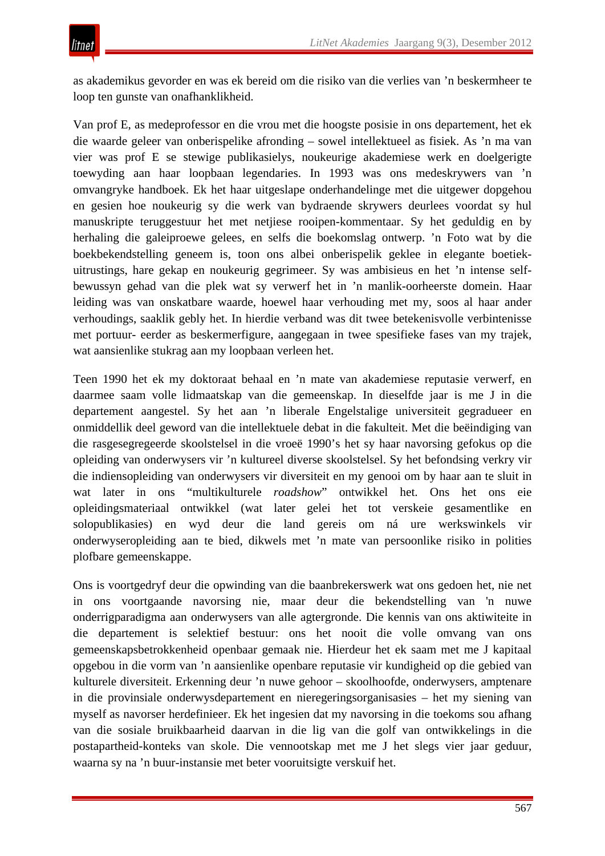as akademikus gevorder en was ek bereid om die risiko van die verlies van 'n beskermheer te loop ten gunste van onafhanklikheid.

Van prof E, as medeprofessor en die vrou met die hoogste posisie in ons departement, het ek die waarde geleer van onberispelike afronding – sowel intellektueel as fisiek. As 'n ma van vier was prof E se stewige publikasielys, noukeurige akademiese werk en doelgerigte toewyding aan haar loopbaan legendaries. In 1993 was ons medeskrywers van 'n omvangryke handboek. Ek het haar uitgeslape onderhandelinge met die uitgewer dopgehou en gesien hoe noukeurig sy die werk van bydraende skrywers deurlees voordat sy hul manuskripte teruggestuur het met netjiese rooipen-kommentaar. Sy het geduldig en by herhaling die galeiproewe gelees, en selfs die boekomslag ontwerp. 'n Foto wat by die boekbekendstelling geneem is, toon ons albei onberispelik geklee in elegante boetiekuitrustings, hare gekap en noukeurig gegrimeer. Sy was ambisieus en het 'n intense selfbewussyn gehad van die plek wat sy verwerf het in 'n manlik-oorheerste domein. Haar leiding was van onskatbare waarde, hoewel haar verhouding met my, soos al haar ander verhoudings, saaklik gebly het. In hierdie verband was dit twee betekenisvolle verbintenisse met portuur- eerder as beskermerfigure, aangegaan in twee spesifieke fases van my trajek, wat aansienlike stukrag aan my loopbaan verleen het.

Teen 1990 het ek my doktoraat behaal en 'n mate van akademiese reputasie verwerf, en daarmee saam volle lidmaatskap van die gemeenskap. In dieselfde jaar is me J in die departement aangestel. Sy het aan 'n liberale Engelstalige universiteit gegradueer en onmiddellik deel geword van die intellektuele debat in die fakulteit. Met die beëindiging van die rasgesegregeerde skoolstelsel in die vroeë 1990's het sy haar navorsing gefokus op die opleiding van onderwysers vir 'n kultureel diverse skoolstelsel. Sy het befondsing verkry vir die indiensopleiding van onderwysers vir diversiteit en my genooi om by haar aan te sluit in wat later in ons "multikulturele *roadshow*" ontwikkel het. Ons het ons eie opleidingsmateriaal ontwikkel (wat later gelei het tot verskeie gesamentlike en solopublikasies) en wyd deur die land gereis om ná ure werkswinkels vir onderwyseropleiding aan te bied, dikwels met 'n mate van persoonlike risiko in polities plofbare gemeenskappe.

Ons is voortgedryf deur die opwinding van die baanbrekerswerk wat ons gedoen het, nie net in ons voortgaande navorsing nie, maar deur die bekendstelling van 'n nuwe onderrigparadigma aan onderwysers van alle agtergronde. Die kennis van ons aktiwiteite in die departement is selektief bestuur: ons het nooit die volle omvang van ons gemeenskapsbetrokkenheid openbaar gemaak nie. Hierdeur het ek saam met me J kapitaal opgebou in die vorm van 'n aansienlike openbare reputasie vir kundigheid op die gebied van kulturele diversiteit. Erkenning deur 'n nuwe gehoor – skoolhoofde, onderwysers, amptenare in die provinsiale onderwysdepartement en nieregeringsorganisasies – het my siening van myself as navorser herdefinieer. Ek het ingesien dat my navorsing in die toekoms sou afhang van die sosiale bruikbaarheid daarvan in die lig van die golf van ontwikkelings in die postapartheid-konteks van skole. Die vennootskap met me J het slegs vier jaar geduur, waarna sy na 'n buur-instansie met beter vooruitsigte verskuif het.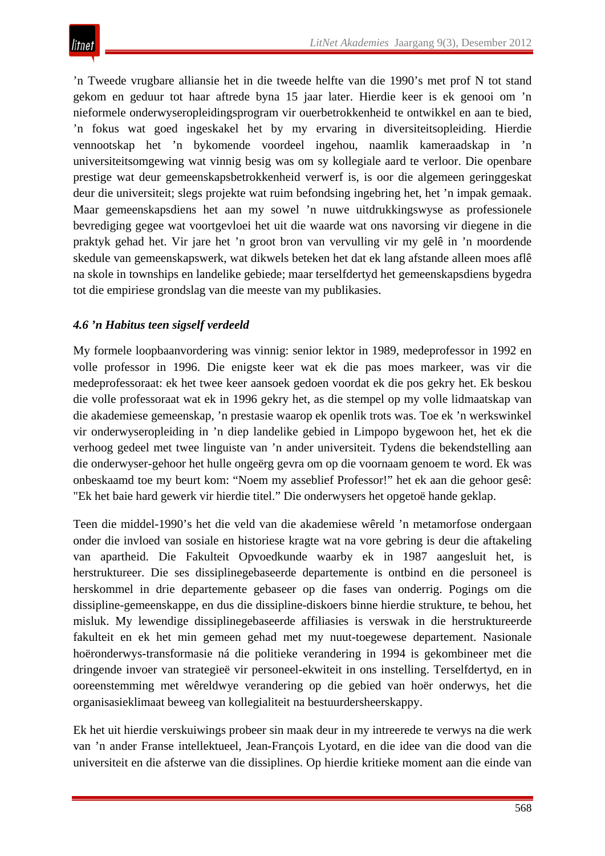'n Tweede vrugbare alliansie het in die tweede helfte van die 1990's met prof N tot stand gekom en geduur tot haar aftrede byna 15 jaar later. Hierdie keer is ek genooi om 'n nieformele onderwyseropleidingsprogram vir ouerbetrokkenheid te ontwikkel en aan te bied, 'n fokus wat goed ingeskakel het by my ervaring in diversiteitsopleiding. Hierdie vennootskap het 'n bykomende voordeel ingehou, naamlik kameraadskap in 'n universiteitsomgewing wat vinnig besig was om sy kollegiale aard te verloor. Die openbare prestige wat deur gemeenskapsbetrokkenheid verwerf is, is oor die algemeen geringgeskat deur die universiteit; slegs projekte wat ruim befondsing ingebring het, het 'n impak gemaak. Maar gemeenskapsdiens het aan my sowel 'n nuwe uitdrukkingswyse as professionele bevrediging gegee wat voortgevloei het uit die waarde wat ons navorsing vir diegene in die praktyk gehad het. Vir jare het 'n groot bron van vervulling vir my gelê in 'n moordende skedule van gemeenskapswerk, wat dikwels beteken het dat ek lang afstande alleen moes aflê na skole in townships en landelike gebiede; maar terselfdertyd het gemeenskapsdiens bygedra tot die empiriese grondslag van die meeste van my publikasies.

# *4.6 'n Habitus teen sigself verdeeld*

My formele loopbaanvordering was vinnig: senior lektor in 1989, medeprofessor in 1992 en volle professor in 1996. Die enigste keer wat ek die pas moes markeer, was vir die medeprofessoraat: ek het twee keer aansoek gedoen voordat ek die pos gekry het. Ek beskou die volle professoraat wat ek in 1996 gekry het, as die stempel op my volle lidmaatskap van die akademiese gemeenskap, 'n prestasie waarop ek openlik trots was. Toe ek 'n werkswinkel vir onderwyseropleiding in 'n diep landelike gebied in Limpopo bygewoon het, het ek die verhoog gedeel met twee linguiste van 'n ander universiteit. Tydens die bekendstelling aan die onderwyser-gehoor het hulle ongeërg gevra om op die voornaam genoem te word. Ek was onbeskaamd toe my beurt kom: "Noem my asseblief Professor!" het ek aan die gehoor gesê: "Ek het baie hard gewerk vir hierdie titel." Die onderwysers het opgetoë hande geklap.

Teen die middel-1990's het die veld van die akademiese wêreld 'n metamorfose ondergaan onder die invloed van sosiale en historiese kragte wat na vore gebring is deur die aftakeling van apartheid. Die Fakulteit Opvoedkunde waarby ek in 1987 aangesluit het, is herstruktureer. Die ses dissiplinegebaseerde departemente is ontbind en die personeel is herskommel in drie departemente gebaseer op die fases van onderrig. Pogings om die dissipline-gemeenskappe, en dus die dissipline-diskoers binne hierdie strukture, te behou, het misluk. My lewendige dissiplinegebaseerde affiliasies is verswak in die herstruktureerde fakulteit en ek het min gemeen gehad met my nuut-toegewese departement. Nasionale hoëronderwys-transformasie ná die politieke verandering in 1994 is gekombineer met die dringende invoer van strategieë vir personeel-ekwiteit in ons instelling. Terselfdertyd, en in ooreenstemming met wêreldwye verandering op die gebied van hoër onderwys, het die organisasieklimaat beweeg van kollegialiteit na bestuurdersheerskappy.

Ek het uit hierdie verskuiwings probeer sin maak deur in my intreerede te verwys na die werk van 'n ander Franse intellektueel, Jean-François Lyotard, en die idee van die dood van die universiteit en die afsterwe van die dissiplines. Op hierdie kritieke moment aan die einde van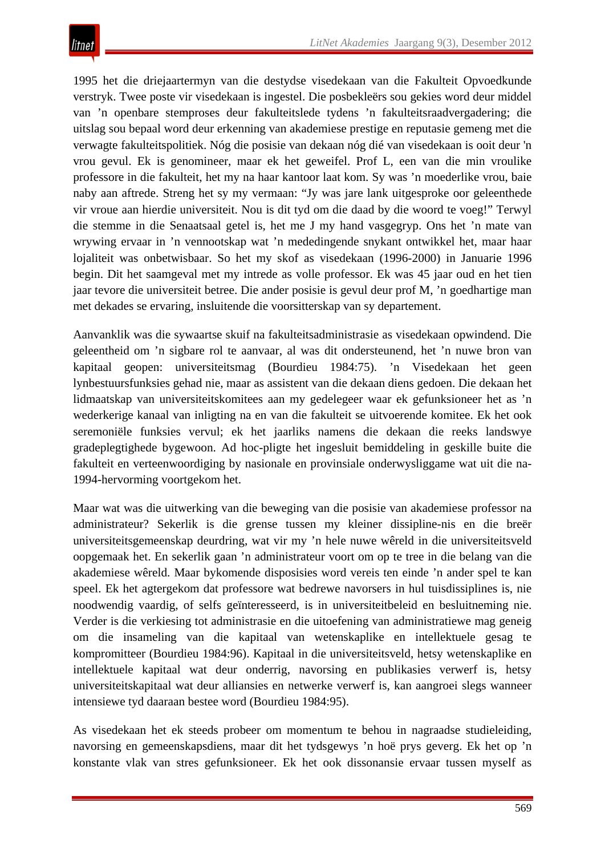1995 het die driejaartermyn van die destydse visedekaan van die Fakulteit Opvoedkunde verstryk. Twee poste vir visedekaan is ingestel. Die posbekleërs sou gekies word deur middel van 'n openbare stemproses deur fakulteitslede tydens 'n fakulteitsraadvergadering; die uitslag sou bepaal word deur erkenning van akademiese prestige en reputasie gemeng met die verwagte fakulteitspolitiek. Nóg die posisie van dekaan nóg dié van visedekaan is ooit deur 'n vrou gevul. Ek is genomineer, maar ek het geweifel. Prof L, een van die min vroulike professore in die fakulteit, het my na haar kantoor laat kom. Sy was 'n moederlike vrou, baie naby aan aftrede. Streng het sy my vermaan: "Jy was jare lank uitgesproke oor geleenthede vir vroue aan hierdie universiteit. Nou is dit tyd om die daad by die woord te voeg!" Terwyl die stemme in die Senaatsaal getel is, het me J my hand vasgegryp. Ons het 'n mate van wrywing ervaar in 'n vennootskap wat 'n mededingende snykant ontwikkel het, maar haar lojaliteit was onbetwisbaar. So het my skof as visedekaan (1996-2000) in Januarie 1996 begin. Dit het saamgeval met my intrede as volle professor. Ek was 45 jaar oud en het tien jaar tevore die universiteit betree. Die ander posisie is gevul deur prof M, 'n goedhartige man met dekades se ervaring, insluitende die voorsitterskap van sy departement.

Aanvanklik was die sywaartse skuif na fakulteitsadministrasie as visedekaan opwindend. Die geleentheid om 'n sigbare rol te aanvaar, al was dit ondersteunend, het 'n nuwe bron van kapitaal geopen: universiteitsmag (Bourdieu 1984:75). 'n Visedekaan het geen lynbestuursfunksies gehad nie, maar as assistent van die dekaan diens gedoen. Die dekaan het lidmaatskap van universiteitskomitees aan my gedelegeer waar ek gefunksioneer het as 'n wederkerige kanaal van inligting na en van die fakulteit se uitvoerende komitee. Ek het ook seremoniële funksies vervul; ek het jaarliks namens die dekaan die reeks landswye gradeplegtighede bygewoon. Ad hoc-pligte het ingesluit bemiddeling in geskille buite die fakulteit en verteenwoordiging by nasionale en provinsiale onderwysliggame wat uit die na-1994-hervorming voortgekom het.

Maar wat was die uitwerking van die beweging van die posisie van akademiese professor na administrateur? Sekerlik is die grense tussen my kleiner dissipline-nis en die breër universiteitsgemeenskap deurdring, wat vir my 'n hele nuwe wêreld in die universiteitsveld oopgemaak het. En sekerlik gaan 'n administrateur voort om op te tree in die belang van die akademiese wêreld. Maar bykomende disposisies word vereis ten einde 'n ander spel te kan speel. Ek het agtergekom dat professore wat bedrewe navorsers in hul tuisdissiplines is, nie noodwendig vaardig, of selfs geïnteresseerd, is in universiteitbeleid en besluitneming nie. Verder is die verkiesing tot administrasie en die uitoefening van administratiewe mag geneig om die insameling van die kapitaal van wetenskaplike en intellektuele gesag te kompromitteer (Bourdieu 1984:96). Kapitaal in die universiteitsveld, hetsy wetenskaplike en intellektuele kapitaal wat deur onderrig, navorsing en publikasies verwerf is, hetsy universiteitskapitaal wat deur alliansies en netwerke verwerf is, kan aangroei slegs wanneer intensiewe tyd daaraan bestee word (Bourdieu 1984:95).

As visedekaan het ek steeds probeer om momentum te behou in nagraadse studieleiding, navorsing en gemeenskapsdiens, maar dit het tydsgewys 'n hoë prys geverg. Ek het op 'n konstante vlak van stres gefunksioneer. Ek het ook dissonansie ervaar tussen myself as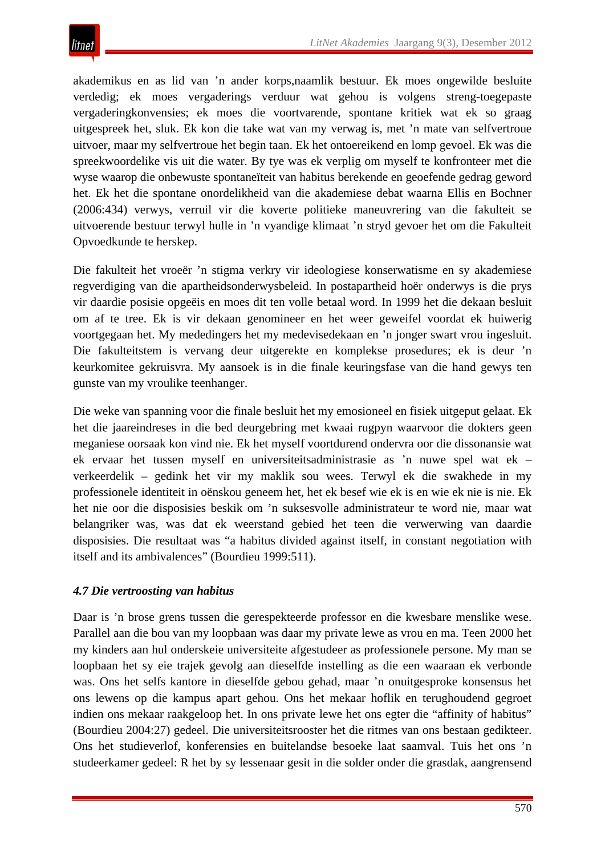

akademikus en as lid van 'n ander korps,naamlik bestuur. Ek moes ongewilde besluite verdedig; ek moes vergaderings verduur wat gehou is volgens streng-toegepaste vergaderingkonvensies; ek moes die voortvarende, spontane kritiek wat ek so graag uitgespreek het, sluk. Ek kon die take wat van my verwag is, met 'n mate van selfvertroue uitvoer, maar my selfvertroue het begin taan. Ek het ontoereikend en lomp gevoel. Ek was die spreekwoordelike vis uit die water. By tye was ek verplig om myself te konfronteer met die wyse waarop die onbewuste spontaneïteit van habitus berekende en geoefende gedrag geword het. Ek het die spontane onordelikheid van die akademiese debat waarna Ellis en Bochner (2006:434) verwys, verruil vir die koverte politieke maneuvrering van die fakulteit se uitvoerende bestuur terwyl hulle in 'n vyandige klimaat 'n stryd gevoer het om die Fakulteit Opvoedkunde te herskep.

Die fakulteit het vroeër 'n stigma verkry vir ideologiese konserwatisme en sy akademiese regverdiging van die apartheidsonderwysbeleid. In postapartheid hoër onderwys is die prys vir daardie posisie opgeëis en moes dit ten volle betaal word. In 1999 het die dekaan besluit om af te tree. Ek is vir dekaan genomineer en het weer geweifel voordat ek huiwerig voortgegaan het. My mededingers het my medevisedekaan en 'n jonger swart vrou ingesluit. Die fakulteitstem is vervang deur uitgerekte en komplekse prosedures; ek is deur 'n keurkomitee gekruisvra. My aansoek is in die finale keuringsfase van die hand gewys ten gunste van my vroulike teenhanger.

Die weke van spanning voor die finale besluit het my emosioneel en fisiek uitgeput gelaat. Ek het die jaareindreses in die bed deurgebring met kwaai rugpyn waarvoor die dokters geen meganiese oorsaak kon vind nie. Ek het myself voortdurend ondervra oor die dissonansie wat ek ervaar het tussen myself en universiteitsadministrasie as 'n nuwe spel wat ek – verkeerdelik – gedink het vir my maklik sou wees. Terwyl ek die swakhede in my professionele identiteit in oënskou geneem het, het ek besef wie ek is en wie ek nie is nie. Ek het nie oor die disposisies beskik om 'n suksesvolle administrateur te word nie, maar wat belangriker was, was dat ek weerstand gebied het teen die verwerwing van daardie disposisies. Die resultaat was "a habitus divided against itself, in constant negotiation with itself and its ambivalences" (Bourdieu 1999:511).

# *4.7 Die vertroosting van habitus*

Daar is 'n brose grens tussen die gerespekteerde professor en die kwesbare menslike wese. Parallel aan die bou van my loopbaan was daar my private lewe as vrou en ma. Teen 2000 het my kinders aan hul onderskeie universiteite afgestudeer as professionele persone. My man se loopbaan het sy eie trajek gevolg aan dieselfde instelling as die een waaraan ek verbonde was. Ons het selfs kantore in dieselfde gebou gehad, maar 'n onuitgesproke konsensus het ons lewens op die kampus apart gehou. Ons het mekaar hoflik en terughoudend gegroet indien ons mekaar raakgeloop het. In ons private lewe het ons egter die "affinity of habitus" (Bourdieu 2004:27) gedeel. Die universiteitsrooster het die ritmes van ons bestaan gedikteer. Ons het studieverlof, konferensies en buitelandse besoeke laat saamval. Tuis het ons 'n studeerkamer gedeel: R het by sy lessenaar gesit in die solder onder die grasdak, aangrensend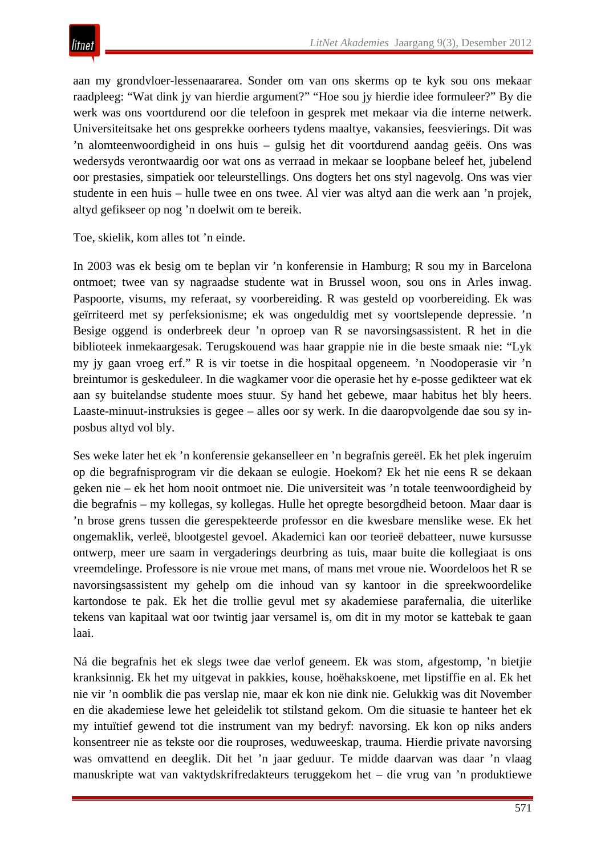aan my grondvloer-lessenaararea. Sonder om van ons skerms op te kyk sou ons mekaar raadpleeg: "Wat dink jy van hierdie argument?" "Hoe sou jy hierdie idee formuleer?" By die werk was ons voortdurend oor die telefoon in gesprek met mekaar via die interne netwerk. Universiteitsake het ons gesprekke oorheers tydens maaltye, vakansies, feesvierings. Dit was 'n alomteenwoordigheid in ons huis – gulsig het dit voortdurend aandag geëis. Ons was wedersyds verontwaardig oor wat ons as verraad in mekaar se loopbane beleef het, jubelend oor prestasies, simpatiek oor teleurstellings. Ons dogters het ons styl nagevolg. Ons was vier studente in een huis – hulle twee en ons twee. Al vier was altyd aan die werk aan 'n projek, altyd gefikseer op nog 'n doelwit om te bereik.

Toe, skielik, kom alles tot 'n einde.

In 2003 was ek besig om te beplan vir 'n konferensie in Hamburg; R sou my in Barcelona ontmoet; twee van sy nagraadse studente wat in Brussel woon, sou ons in Arles inwag. Paspoorte, visums, my referaat, sy voorbereiding. R was gesteld op voorbereiding. Ek was geïrriteerd met sy perfeksionisme; ek was ongeduldig met sy voortslepende depressie. 'n Besige oggend is onderbreek deur 'n oproep van R se navorsingsassistent. R het in die biblioteek inmekaargesak. Terugskouend was haar grappie nie in die beste smaak nie: "Lyk my jy gaan vroeg erf." R is vir toetse in die hospitaal opgeneem. 'n Noodoperasie vir 'n breintumor is geskeduleer. In die wagkamer voor die operasie het hy e-posse gedikteer wat ek aan sy buitelandse studente moes stuur. Sy hand het gebewe, maar habitus het bly heers. Laaste-minuut-instruksies is gegee – alles oor sy werk. In die daaropvolgende dae sou sy inposbus altyd vol bly.

Ses weke later het ek 'n konferensie gekanselleer en 'n begrafnis gereël. Ek het plek ingeruim op die begrafnisprogram vir die dekaan se eulogie. Hoekom? Ek het nie eens R se dekaan geken nie – ek het hom nooit ontmoet nie. Die universiteit was 'n totale teenwoordigheid by die begrafnis – my kollegas, sy kollegas. Hulle het opregte besorgdheid betoon. Maar daar is 'n brose grens tussen die gerespekteerde professor en die kwesbare menslike wese. Ek het ongemaklik, verleë, blootgestel gevoel. Akademici kan oor teorieë debatteer, nuwe kursusse ontwerp, meer ure saam in vergaderings deurbring as tuis, maar buite die kollegiaat is ons vreemdelinge. Professore is nie vroue met mans, of mans met vroue nie. Woordeloos het R se navorsingsassistent my gehelp om die inhoud van sy kantoor in die spreekwoordelike kartondose te pak. Ek het die trollie gevul met sy akademiese parafernalia, die uiterlike tekens van kapitaal wat oor twintig jaar versamel is, om dit in my motor se kattebak te gaan laai.

Ná die begrafnis het ek slegs twee dae verlof geneem. Ek was stom, afgestomp, 'n bietjie kranksinnig. Ek het my uitgevat in pakkies, kouse, hoëhakskoene, met lipstiffie en al. Ek het nie vir 'n oomblik die pas verslap nie, maar ek kon nie dink nie. Gelukkig was dit November en die akademiese lewe het geleidelik tot stilstand gekom. Om die situasie te hanteer het ek my intuïtief gewend tot die instrument van my bedryf: navorsing. Ek kon op niks anders konsentreer nie as tekste oor die rouproses, weduweeskap, trauma. Hierdie private navorsing was omvattend en deeglik. Dit het 'n jaar geduur. Te midde daarvan was daar 'n vlaag manuskripte wat van vaktydskrifredakteurs teruggekom het – die vrug van 'n produktiewe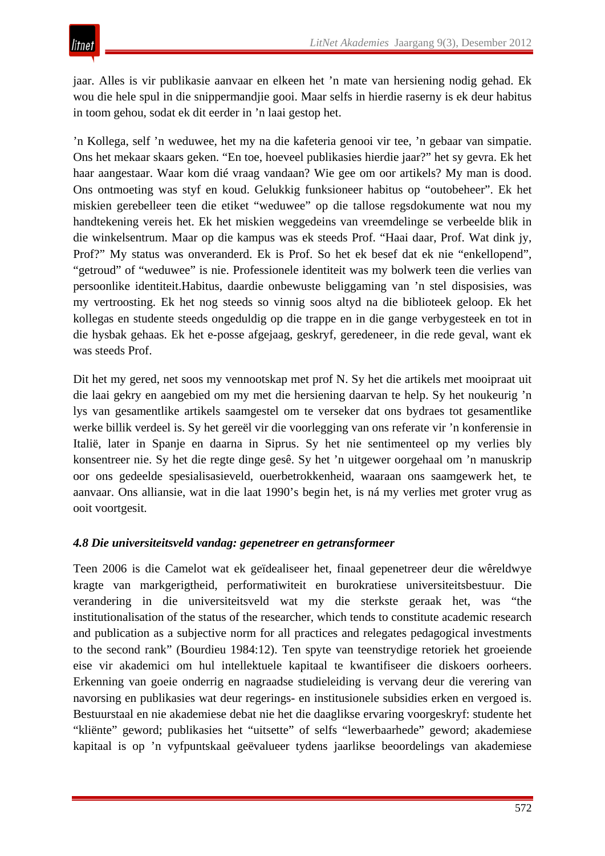jaar. Alles is vir publikasie aanvaar en elkeen het 'n mate van hersiening nodig gehad. Ek wou die hele spul in die snippermandjie gooi. Maar selfs in hierdie raserny is ek deur habitus in toom gehou, sodat ek dit eerder in 'n laai gestop het.

'n Kollega, self 'n weduwee, het my na die kafeteria genooi vir tee, 'n gebaar van simpatie. Ons het mekaar skaars geken. "En toe, hoeveel publikasies hierdie jaar?" het sy gevra. Ek het haar aangestaar. Waar kom dié vraag vandaan? Wie gee om oor artikels? My man is dood. Ons ontmoeting was styf en koud. Gelukkig funksioneer habitus op "outobeheer". Ek het miskien gerebelleer teen die etiket "weduwee" op die tallose regsdokumente wat nou my handtekening vereis het. Ek het miskien weggedeins van vreemdelinge se verbeelde blik in die winkelsentrum. Maar op die kampus was ek steeds Prof. "Haai daar, Prof. Wat dink jy, Prof?" My status was onveranderd. Ek is Prof. So het ek besef dat ek nie "enkellopend", "getroud" of "weduwee" is nie. Professionele identiteit was my bolwerk teen die verlies van persoonlike identiteit.Habitus, daardie onbewuste beliggaming van 'n stel disposisies, was my vertroosting. Ek het nog steeds so vinnig soos altyd na die biblioteek geloop. Ek het kollegas en studente steeds ongeduldig op die trappe en in die gange verbygesteek en tot in die hysbak gehaas. Ek het e-posse afgejaag, geskryf, geredeneer, in die rede geval, want ek was steeds Prof.

Dit het my gered, net soos my vennootskap met prof N. Sy het die artikels met mooipraat uit die laai gekry en aangebied om my met die hersiening daarvan te help. Sy het noukeurig 'n lys van gesamentlike artikels saamgestel om te verseker dat ons bydraes tot gesamentlike werke billik verdeel is. Sy het gereël vir die voorlegging van ons referate vir 'n konferensie in Italië, later in Spanje en daarna in Siprus. Sy het nie sentimenteel op my verlies bly konsentreer nie. Sy het die regte dinge gesê. Sy het 'n uitgewer oorgehaal om 'n manuskrip oor ons gedeelde spesialisasieveld, ouerbetrokkenheid, waaraan ons saamgewerk het, te aanvaar. Ons alliansie, wat in die laat 1990's begin het, is ná my verlies met groter vrug as ooit voortgesit.

# *4.8 Die universiteitsveld vandag: gepenetreer en getransformeer*

Teen 2006 is die Camelot wat ek geïdealiseer het, finaal gepenetreer deur die wêreldwye kragte van markgerigtheid, performatiwiteit en burokratiese universiteitsbestuur. Die verandering in die universiteitsveld wat my die sterkste geraak het, was "the institutionalisation of the status of the researcher, which tends to constitute academic research and publication as a subjective norm for all practices and relegates pedagogical investments to the second rank" (Bourdieu 1984:12). Ten spyte van teenstrydige retoriek het groeiende eise vir akademici om hul intellektuele kapitaal te kwantifiseer die diskoers oorheers. Erkenning van goeie onderrig en nagraadse studieleiding is vervang deur die verering van navorsing en publikasies wat deur regerings- en institusionele subsidies erken en vergoed is. Bestuurstaal en nie akademiese debat nie het die daaglikse ervaring voorgeskryf: studente het "kliënte" geword; publikasies het "uitsette" of selfs "lewerbaarhede" geword; akademiese kapitaal is op 'n vyfpuntskaal geëvalueer tydens jaarlikse beoordelings van akademiese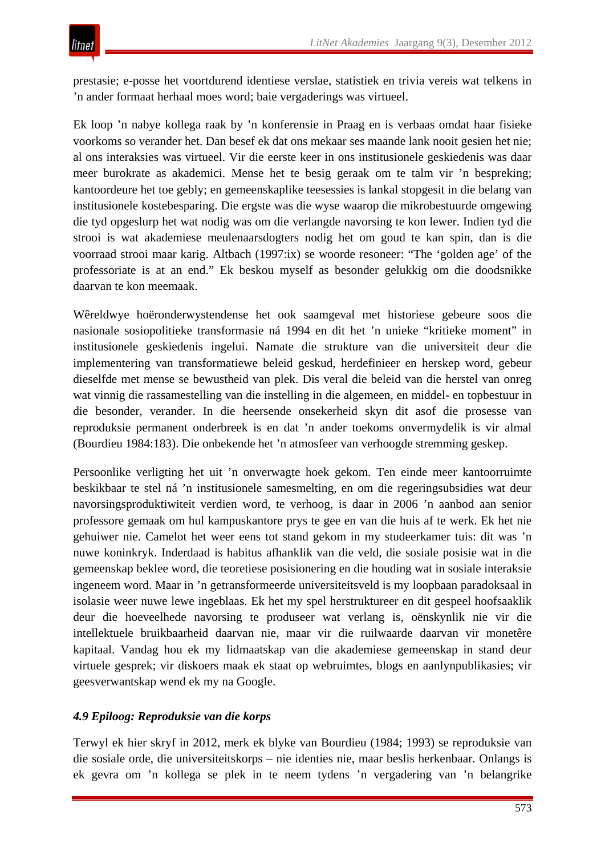prestasie; e-posse het voortdurend identiese verslae, statistiek en trivia vereis wat telkens in 'n ander formaat herhaal moes word; baie vergaderings was virtueel.

Ek loop 'n nabye kollega raak by 'n konferensie in Praag en is verbaas omdat haar fisieke voorkoms so verander het. Dan besef ek dat ons mekaar ses maande lank nooit gesien het nie; al ons interaksies was virtueel. Vir die eerste keer in ons institusionele geskiedenis was daar meer burokrate as akademici. Mense het te besig geraak om te talm vir 'n bespreking; kantoordeure het toe gebly; en gemeenskaplike teesessies is lankal stopgesit in die belang van institusionele kostebesparing. Die ergste was die wyse waarop die mikrobestuurde omgewing die tyd opgeslurp het wat nodig was om die verlangde navorsing te kon lewer. Indien tyd die strooi is wat akademiese meulenaarsdogters nodig het om goud te kan spin, dan is die voorraad strooi maar karig. Altbach (1997:ix) se woorde resoneer: "The 'golden age' of the professoriate is at an end." Ek beskou myself as besonder gelukkig om die doodsnikke daarvan te kon meemaak.

Wêreldwye hoëronderwystendense het ook saamgeval met historiese gebeure soos die nasionale sosiopolitieke transformasie ná 1994 en dit het 'n unieke "kritieke moment" in institusionele geskiedenis ingelui. Namate die strukture van die universiteit deur die implementering van transformatiewe beleid geskud, herdefinieer en herskep word, gebeur dieselfde met mense se bewustheid van plek. Dis veral die beleid van die herstel van onreg wat vinnig die rassamestelling van die instelling in die algemeen, en middel- en topbestuur in die besonder, verander. In die heersende onsekerheid skyn dit asof die prosesse van reproduksie permanent onderbreek is en dat 'n ander toekoms onvermydelik is vir almal (Bourdieu 1984:183). Die onbekende het 'n atmosfeer van verhoogde stremming geskep.

Persoonlike verligting het uit 'n onverwagte hoek gekom. Ten einde meer kantoorruimte beskikbaar te stel ná 'n institusionele samesmelting, en om die regeringsubsidies wat deur navorsingsproduktiwiteit verdien word, te verhoog, is daar in 2006 'n aanbod aan senior professore gemaak om hul kampuskantore prys te gee en van die huis af te werk. Ek het nie gehuiwer nie. Camelot het weer eens tot stand gekom in my studeerkamer tuis: dit was 'n nuwe koninkryk. Inderdaad is habitus afhanklik van die veld, die sosiale posisie wat in die gemeenskap beklee word, die teoretiese posisionering en die houding wat in sosiale interaksie ingeneem word. Maar in 'n getransformeerde universiteitsveld is my loopbaan paradoksaal in isolasie weer nuwe lewe ingeblaas. Ek het my spel herstruktureer en dit gespeel hoofsaaklik deur die hoeveelhede navorsing te produseer wat verlang is, oënskynlik nie vir die intellektuele bruikbaarheid daarvan nie, maar vir die ruilwaarde daarvan vir monetêre kapitaal. Vandag hou ek my lidmaatskap van die akademiese gemeenskap in stand deur virtuele gesprek; vir diskoers maak ek staat op webruimtes, blogs en aanlynpublikasies; vir geesverwantskap wend ek my na Google.

# *4.9 Epiloog: Reproduksie van die korps*

Terwyl ek hier skryf in 2012, merk ek blyke van Bourdieu (1984; 1993) se reproduksie van die sosiale orde, die universiteitskorps – nie identies nie, maar beslis herkenbaar. Onlangs is ek gevra om 'n kollega se plek in te neem tydens 'n vergadering van 'n belangrike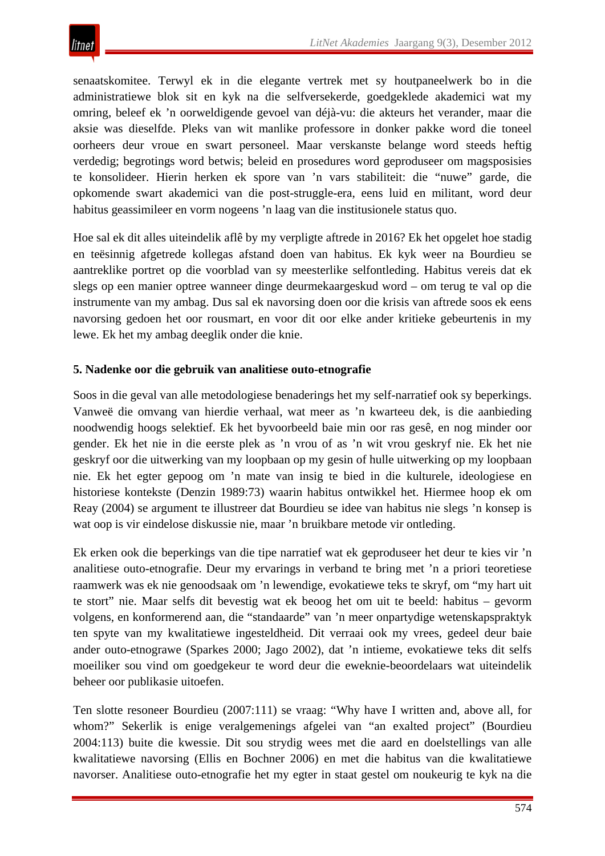senaatskomitee. Terwyl ek in die elegante vertrek met sy houtpaneelwerk bo in die administratiewe blok sit en kyk na die selfversekerde, goedgeklede akademici wat my omring, beleef ek 'n oorweldigende gevoel van déjà-vu: die akteurs het verander, maar die aksie was dieselfde. Pleks van wit manlike professore in donker pakke word die toneel oorheers deur vroue en swart personeel. Maar verskanste belange word steeds heftig verdedig; begrotings word betwis; beleid en prosedures word geproduseer om magsposisies te konsolideer. Hierin herken ek spore van 'n vars stabiliteit: die "nuwe" garde, die opkomende swart akademici van die post-struggle-era, eens luid en militant, word deur habitus geassimileer en vorm nogeens 'n laag van die institusionele status quo.

Hoe sal ek dit alles uiteindelik aflê by my verpligte aftrede in 2016? Ek het opgelet hoe stadig en teësinnig afgetrede kollegas afstand doen van habitus. Ek kyk weer na Bourdieu se aantreklike portret op die voorblad van sy meesterlike selfontleding. Habitus vereis dat ek slegs op een manier optree wanneer dinge deurmekaargeskud word – om terug te val op die instrumente van my ambag. Dus sal ek navorsing doen oor die krisis van aftrede soos ek eens navorsing gedoen het oor rousmart, en voor dit oor elke ander kritieke gebeurtenis in my lewe. Ek het my ambag deeglik onder die knie.

# **5. Nadenke oor die gebruik van analitiese outo-etnografie**

Soos in die geval van alle metodologiese benaderings het my self-narratief ook sy beperkings. Vanweë die omvang van hierdie verhaal, wat meer as 'n kwarteeu dek, is die aanbieding noodwendig hoogs selektief. Ek het byvoorbeeld baie min oor ras gesê, en nog minder oor gender. Ek het nie in die eerste plek as 'n vrou of as 'n wit vrou geskryf nie. Ek het nie geskryf oor die uitwerking van my loopbaan op my gesin of hulle uitwerking op my loopbaan nie. Ek het egter gepoog om 'n mate van insig te bied in die kulturele, ideologiese en historiese kontekste (Denzin 1989:73) waarin habitus ontwikkel het. Hiermee hoop ek om Reay (2004) se argument te illustreer dat Bourdieu se idee van habitus nie slegs 'n konsep is wat oop is vir eindelose diskussie nie, maar 'n bruikbare metode vir ontleding.

Ek erken ook die beperkings van die tipe narratief wat ek geproduseer het deur te kies vir 'n analitiese outo-etnografie. Deur my ervarings in verband te bring met 'n a priori teoretiese raamwerk was ek nie genoodsaak om 'n lewendige, evokatiewe teks te skryf, om "my hart uit te stort" nie. Maar selfs dit bevestig wat ek beoog het om uit te beeld: habitus – gevorm volgens, en konformerend aan, die "standaarde" van 'n meer onpartydige wetenskapspraktyk ten spyte van my kwalitatiewe ingesteldheid. Dit verraai ook my vrees, gedeel deur baie ander outo-etnograwe (Sparkes 2000; Jago 2002), dat 'n intieme, evokatiewe teks dit selfs moeiliker sou vind om goedgekeur te word deur die eweknie-beoordelaars wat uiteindelik beheer oor publikasie uitoefen.

Ten slotte resoneer Bourdieu (2007:111) se vraag: "Why have I written and, above all, for whom?" Sekerlik is enige veralgemenings afgelei van "an exalted project" (Bourdieu 2004:113) buite die kwessie. Dit sou strydig wees met die aard en doelstellings van alle kwalitatiewe navorsing (Ellis en Bochner 2006) en met die habitus van die kwalitatiewe navorser. Analitiese outo-etnografie het my egter in staat gestel om noukeurig te kyk na die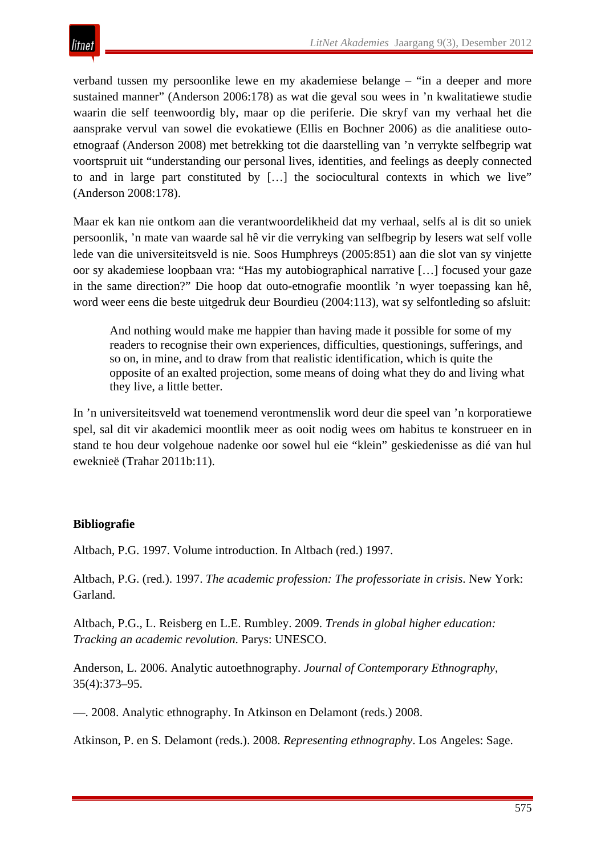

verband tussen my persoonlike lewe en my akademiese belange – "in a deeper and more sustained manner" (Anderson 2006:178) as wat die geval sou wees in 'n kwalitatiewe studie waarin die self teenwoordig bly, maar op die periferie. Die skryf van my verhaal het die aansprake vervul van sowel die evokatiewe (Ellis en Bochner 2006) as die analitiese outoetnograaf (Anderson 2008) met betrekking tot die daarstelling van 'n verrykte selfbegrip wat voortspruit uit "understanding our personal lives, identities, and feelings as deeply connected to and in large part constituted by […] the sociocultural contexts in which we live" (Anderson 2008:178).

Maar ek kan nie ontkom aan die verantwoordelikheid dat my verhaal, selfs al is dit so uniek persoonlik, 'n mate van waarde sal hê vir die verryking van selfbegrip by lesers wat self volle lede van die universiteitsveld is nie. Soos Humphreys (2005:851) aan die slot van sy vinjette oor sy akademiese loopbaan vra: "Has my autobiographical narrative […] focused your gaze in the same direction?" Die hoop dat outo-etnografie moontlik 'n wyer toepassing kan hê, word weer eens die beste uitgedruk deur Bourdieu (2004:113), wat sy selfontleding so afsluit:

And nothing would make me happier than having made it possible for some of my readers to recognise their own experiences, difficulties, questionings, sufferings, and so on, in mine, and to draw from that realistic identification, which is quite the opposite of an exalted projection, some means of doing what they do and living what they live, a little better.

In 'n universiteitsveld wat toenemend verontmenslik word deur die speel van 'n korporatiewe spel, sal dit vir akademici moontlik meer as ooit nodig wees om habitus te konstrueer en in stand te hou deur volgehoue nadenke oor sowel hul eie "klein" geskiedenisse as dié van hul eweknieë (Trahar 2011b:11).

# **Bibliografie**

Altbach, P.G. 1997. Volume introduction. In Altbach (red.) 1997.

Altbach, P.G. (red.). 1997. *The academic profession: The professoriate in crisis*. New York: Garland.

Altbach, P.G., L. Reisberg en L.E. Rumbley. 2009. *Trends in global higher education: Tracking an academic revolution*. Parys: UNESCO.

Anderson, L. 2006. Analytic autoethnography. *Journal of Contemporary Ethnography*, 35(4):373–95.

—. 2008. Analytic ethnography. In Atkinson en Delamont (reds.) 2008.

Atkinson, P. en S. Delamont (reds.). 2008. *Representing ethnography*. Los Angeles: Sage.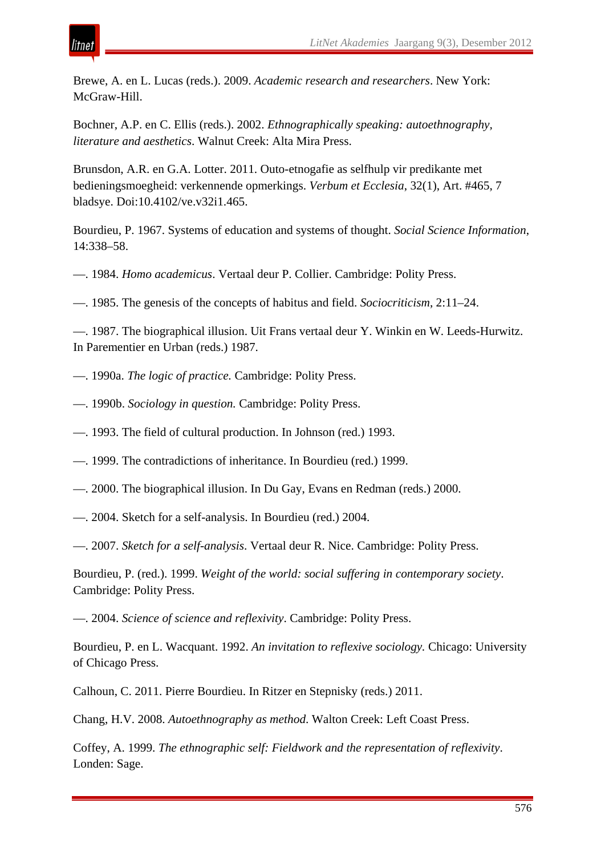Brewe, A. en L. Lucas (reds.). 2009. *Academic research and researchers*. New York: McGraw-Hill.

Bochner, A.P. en C. Ellis (reds.). 2002. *Ethnographically speaking: autoethnography, literature and aesthetics*. Walnut Creek: Alta Mira Press.

Brunsdon, A.R. en G.A. Lotter. 2011. Outo-etnogafie as selfhulp vir predikante met bedieningsmoegheid: verkennende opmerkings. *Verbum et Ecclesia*, 32(1), Art. #465, 7 bladsye. Doi:10.4102/ve.v32i1.465.

Bourdieu, P. 1967. Systems of education and systems of thought. *Social Science Information*, 14:338–58.

- —. 1984. *Homo academicus*. Vertaal deur P. Collier. Cambridge: Polity Press.
- —. 1985. The genesis of the concepts of habitus and field. *Sociocriticism*, 2:11–24.

—. 1987. The biographical illusion. Uit Frans vertaal deur Y. Winkin en W. Leeds-Hurwitz. In Parementier en Urban (reds.) 1987.

- —. 1990a. *The logic of practice.* Cambridge: Polity Press.
- —. 1990b. *Sociology in question.* Cambridge: Polity Press.
- —. 1993. The field of cultural production. In Johnson (red.) 1993.
- —. 1999. The contradictions of inheritance. In Bourdieu (red.) 1999.
- —. 2000. The biographical illusion. In Du Gay, Evans en Redman (reds.) 2000.
- —. 2004. Sketch for a self-analysis. In Bourdieu (red.) 2004.
- —. 2007. *Sketch for a self-analysis*. Vertaal deur R. Nice. Cambridge: Polity Press.

Bourdieu, P. (red.). 1999. *Weight of the world: social suffering in contemporary society*. Cambridge: Polity Press.

—. 2004. *Science of science and reflexivity*. Cambridge: Polity Press.

Bourdieu, P. en L. Wacquant. 1992. *An invitation to reflexive sociology.* Chicago: University of Chicago Press.

Calhoun, C. 2011. Pierre Bourdieu. In Ritzer en Stepnisky (reds.) 2011.

Chang, H.V. 2008. *Autoethnography as method*. Walton Creek: Left Coast Press.

Coffey, A. 1999. *The ethnographic self: Fieldwork and the representation of reflexivity*. Londen: Sage.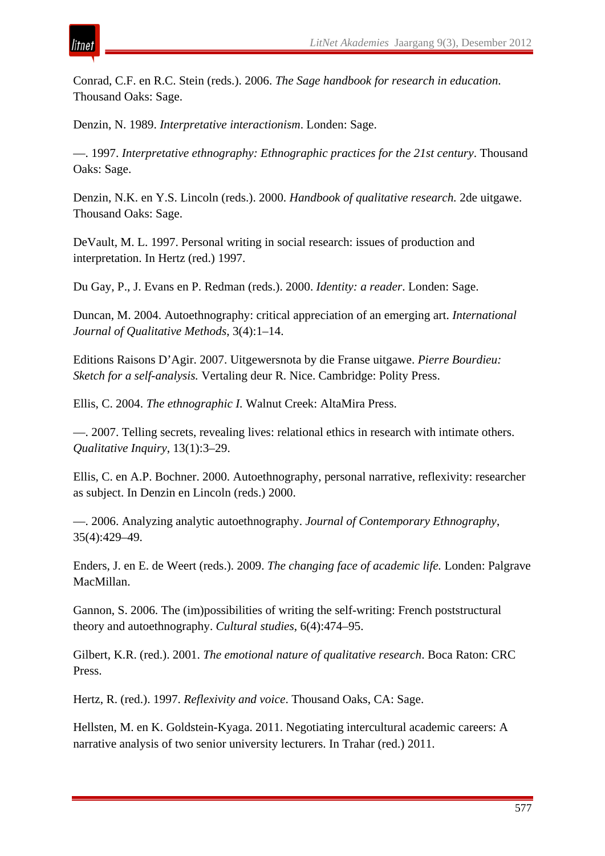

Conrad, C.F. en R.C. Stein (reds.). 2006. *The Sage handbook for research in education*. Thousand Oaks: Sage.

Denzin, N. 1989. *Interpretative interactionism*. Londen: Sage.

—. 1997. *Interpretative ethnography: Ethnographic practices for the 21st century*. Thousand Oaks: Sage.

Denzin, N.K. en Y.S. Lincoln (reds.). 2000. *Handbook of qualitative research.* 2de uitgawe. Thousand Oaks: Sage.

DeVault, M. L. 1997. Personal writing in social research: issues of production and interpretation. In Hertz (red.) 1997.

Du Gay, P., J. Evans en P. Redman (reds.). 2000. *Identity: a reader*. Londen: Sage.

Duncan, M. 2004. Autoethnography: critical appreciation of an emerging art. *International Journal of Qualitative Methods*, 3(4):1–14.

Editions Raisons D'Agir. 2007. Uitgewersnota by die Franse uitgawe. *Pierre Bourdieu: Sketch for a self-analysis.* Vertaling deur R. Nice. Cambridge: Polity Press.

Ellis, C. 2004. *The ethnographic I.* Walnut Creek: AltaMira Press.

—. 2007. Telling secrets, revealing lives: relational ethics in research with intimate others. *Qualitative Inquiry*, 13(1):3–29.

Ellis, C. en A.P. Bochner. 2000. Autoethnography, personal narrative, reflexivity: researcher as subject. In Denzin en Lincoln (reds.) 2000.

—. 2006. Analyzing analytic autoethnography. *Journal of Contemporary Ethnography*, 35(4):429–49.

Enders, J. en E. de Weert (reds.). 2009. *The changing face of academic life.* Londen: Palgrave MacMillan.

Gannon, S. 2006. The (im)possibilities of writing the self-writing: French poststructural theory and autoethnography. *Cultural studies*, 6(4):474–95.

Gilbert, K.R. (red.). 2001. *The emotional nature of qualitative research*. Boca Raton: CRC Press.

Hertz, R. (red.). 1997. *Reflexivity and voice*. Thousand Oaks, CA: Sage.

Hellsten, M. en K. Goldstein-Kyaga. 2011. Negotiating intercultural academic careers: A narrative analysis of two senior university lecturers. In Trahar (red.) 2011.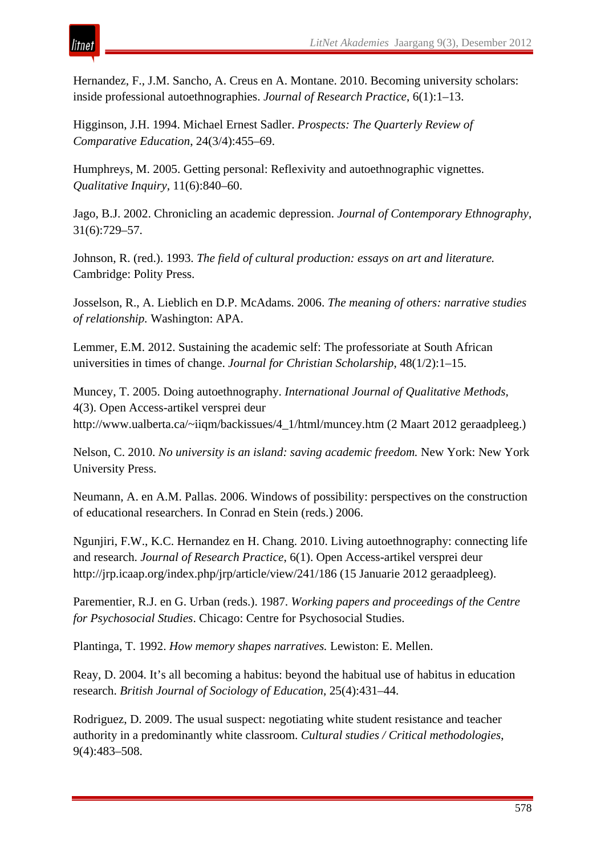Hernandez, F., J.M. Sancho, A. Creus en A. Montane. 2010. Becoming university scholars: inside professional autoethnographies. *Journal of Research Practice*, 6(1):1–13.

Higginson, J.H. 1994. Michael Ernest Sadler. *Prospects: The Quarterly Review of Comparative Education*, 24(3/4):455–69.

Humphreys, M. 2005. Getting personal: Reflexivity and autoethnographic vignettes. *Qualitative Inquiry*, 11(6):840–60.

Jago, B.J. 2002. Chronicling an academic depression. *Journal of Contemporary Ethnography*, 31(6):729–57.

Johnson, R. (red.). 1993. *The field of cultural production: essays on art and literature.*  Cambridge: Polity Press.

Josselson, R., A. Lieblich en D.P. McAdams. 2006. *The meaning of others: narrative studies of relationship.* Washington: APA.

Lemmer, E.M. 2012. Sustaining the academic self: The professoriate at South African universities in times of change. *Journal for Christian Scholarship*, 48(1/2):1–15.

Muncey, T. 2005. Doing autoethnography. *International Journal of Qualitative Methods,*  4(3). Open Access-artikel versprei deur http://www.ualberta.ca/~iiqm/backissues/4\_1/html/muncey.htm (2 Maart 2012 geraadpleeg.)

Nelson, C. 2010. *No university is an island: saving academic freedom.* New York: New York University Press.

Neumann, A. en A.M. Pallas. 2006. Windows of possibility: perspectives on the construction of educational researchers. In Conrad en Stein (reds.) 2006.

Ngunjiri, F.W., K.C. Hernandez en H. Chang. 2010. Living autoethnography: connecting life and research. *Journal of Research Practice*, 6(1). Open Access-artikel versprei deur http://jrp.icaap.org/index.php/jrp/article/view/241/186 (15 Januarie 2012 geraadpleeg).

Parementier, R.J. en G. Urban (reds.). 1987. *Working papers and proceedings of the Centre for Psychosocial Studies*. Chicago: Centre for Psychosocial Studies.

Plantinga, T. 1992. *How memory shapes narratives.* Lewiston: E. Mellen.

Reay, D. 2004. It's all becoming a habitus: beyond the habitual use of habitus in education research. *British Journal of Sociology of Education*, 25(4):431–44.

Rodriguez, D. 2009. The usual suspect: negotiating white student resistance and teacher authority in a predominantly white classroom. *Cultural studies / Critical methodologies*, 9(4):483–508.